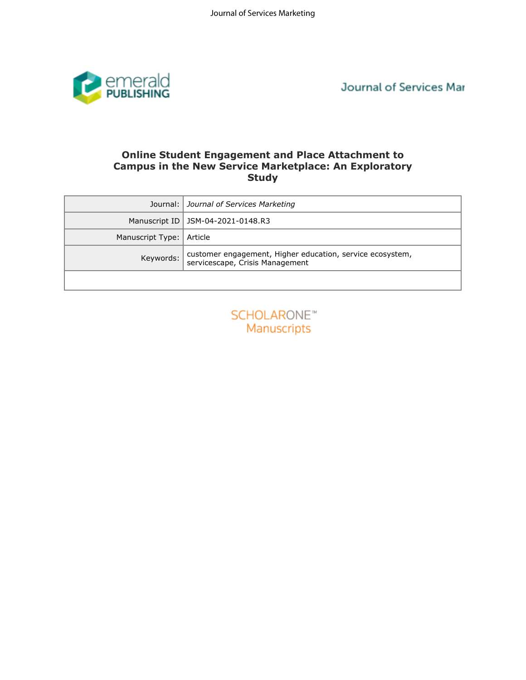

Journal of Services Mar

## **Online Student Engagement and Place Attachment to Campus in the New Service Marketplace: An Exploratory Study**

| <b>Online Student Engagement and Place Attachment to</b><br><b>Campus in the New Service Marketplace: An Exploratory</b><br><b>Study</b> |                                                                                              |  |  |  |  |  |  |  |
|------------------------------------------------------------------------------------------------------------------------------------------|----------------------------------------------------------------------------------------------|--|--|--|--|--|--|--|
| Journal:                                                                                                                                 | Journal of Services Marketing                                                                |  |  |  |  |  |  |  |
| Manuscript ID                                                                                                                            | JSM-04-2021-0148.R3                                                                          |  |  |  |  |  |  |  |
| Manuscript Type:                                                                                                                         | Article                                                                                      |  |  |  |  |  |  |  |
| Keywords:                                                                                                                                | customer engagement, Higher education, service ecosystem,<br>servicescape, Crisis Management |  |  |  |  |  |  |  |
|                                                                                                                                          |                                                                                              |  |  |  |  |  |  |  |
|                                                                                                                                          | <b>SCHOLARONE™</b><br>Manuscripts                                                            |  |  |  |  |  |  |  |

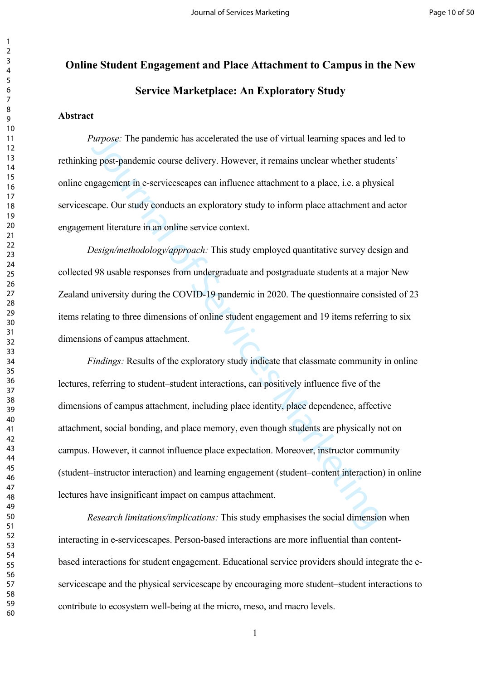# **Online Student Engagement and Place Attachment to Campus in the New Service Marketplace: An Exploratory Study**

#### **Abstract**

*Purpose:* The pandemic has accelerated the use of virtual learning spaces and led to rethinking post-pandemic course delivery. However, it remains unclear whether students' online engagement in e-servicescapes can influence attachment to a place, i.e. a physical servicescape. Our study conducts an exploratory study to inform place attachment and actor engagement literature in an online service context.

*Design/methodology/approach:* This study employed quantitative survey design and collected 98 usable responses from undergraduate and postgraduate students at a major New Zealand university during the COVID-19 pandemic in 2020. The questionnaire consisted of 23 items relating to three dimensions of online student engagement and 19 items referring to six dimensions of campus attachment.

*Purpose:* The pandemic has accelerated the use of virtual learning spaces and<br>g post-pandemic course delivery. However, it remains unclear whether stude<br>gagerment in e-servicescapes can influence attachment to a place, i. *Findings:* Results of the exploratory study indicate that classmate community in online lectures, referring to student–student interactions, can positively influence five of the dimensions of campus attachment, including place identity, place dependence, affective attachment, social bonding, and place memory, even though students are physically not on campus. However, it cannot influence place expectation. Moreover, instructor community (student–instructor interaction) and learning engagement (student–content interaction) in online lectures have insignificant impact on campus attachment.

*Research limitations/implications:* This study emphasises the social dimension when interacting in e-servicescapes. Person-based interactions are more influential than contentbased interactions for student engagement. Educational service providers should integrate the eservicescape and the physical servicescape by encouraging more student–student interactions to contribute to ecosystem well-being at the micro, meso, and macro levels.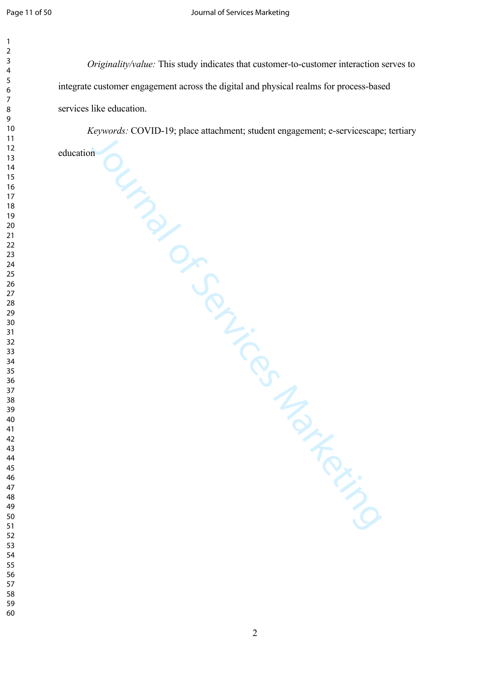*Originality/value:* This study indicates that customer-to-customer interaction serves to integrate customer engagement across the digital and physical realms for process-based services like education.

Journal of Services Marketing *Keywords:* COVID-19; place attachment; student engagement; e-servicescape; tertiary

education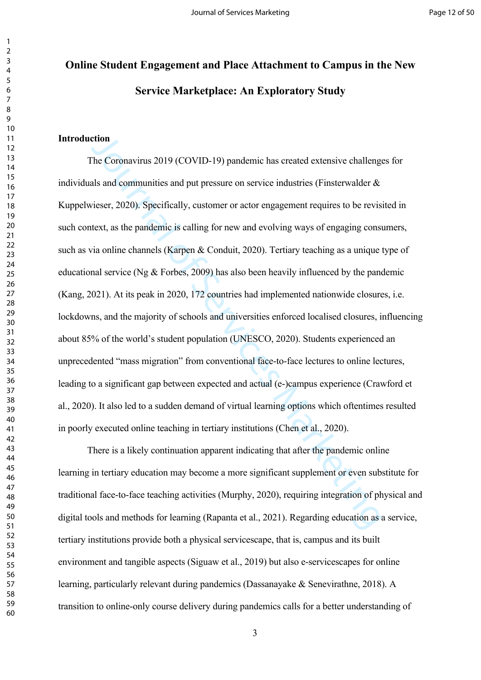# **Online Student Engagement and Place Attachment to Campus in the New Service Marketplace: An Exploratory Study**

## **Introduction**

**CONDUM** (COVID-19) pandemic has created extensive challengther the C[o](#page-30-0)ronavirus 2019 (COVID-19) pandemic has created extensive challengt and and communities and put pressure on ser[vic](#page-35-0)e industries (Finsterwalder & vieser, The Coronavirus 2019 (COVID-19) pandemic has created extensive challenges for individuals and communities and put pressure on service industries (Finsterwalder  $\&$ [Kuppelwieser, 2020\)](#page-28-0). Specifically, customer or actor engagement requires to be revisited in such context, as the pandemic is calling for new and evolving ways of engaging consumers, such as via online channels (Karpen & Conduit, 2020). Tertiary teaching as a unique type of educational service (Ng  $&$  Forbes, 2009) has also been heavily influenced by the pandemic ([Kang, 2021\)](#page-29-0). At its peak in 2020, 172 countries had implemented nationwide closures, i.e. lockdowns, and the majority of schools and universities enforced localised closures, influencing about 85% of the world's student population (UNESCO, 2020). Students experienced an unprecedented "mass migration" from conventional face-to-face lectures to online lectures, leading to a significant gap between expected and actual (e-)campus experience [\(Crawford et](#page-27-0)  [al., 2020\)](#page-27-0). It also led to a sudden demand of virtual learning options which oftentimes resulted in poorly executed online teaching in tertiary institutions (Chen et al., 2020).

There is a likely continuation apparent indicating that after the pandemic online learning in tertiary education may become a more significant supplement or even substitute for traditional face-to-face teaching activities (Murphy, 2020), requiring integration of physical and digital tools and methods for learning (Rapanta et al., 2021). Regarding education as a service, tertiary institutions provide both a physical servicescape, that is, campus and its built environment and tangible aspects ([Siguaw et al., 2019](#page-35-1)) but also e-servicescapes for online learning, particularly relevant during pandemics [\(Dassanayake & Senevirathne, 2018](#page-27-1)). A transition to online-only course delivery during pandemics calls for a better understanding of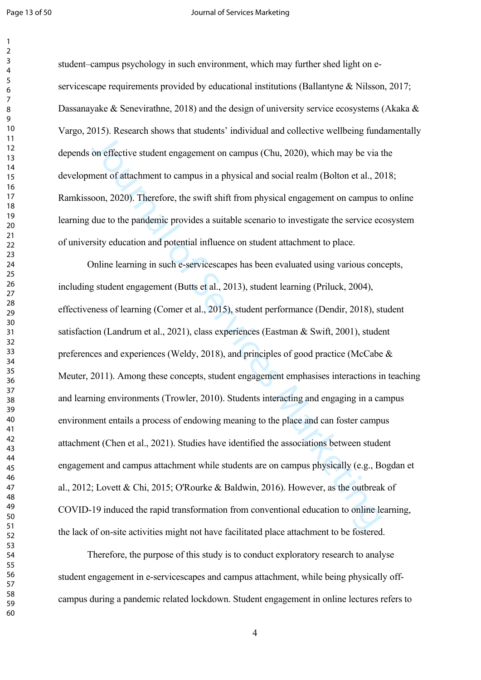#### Page 13 of 50 **Journal of Services Marketing**

student–campus psychology in such environment, which may further shed light on e-servicescape requirements provided by educational institutions [\(Ballantyne & Nilsson, 2017;](#page-24-0) [Dassanayake & Senevirathne, 2018](#page-27-1)) and the design of university service ecosystems (Akaka  $\&$ [Vargo, 2015\)](#page-24-1). Research shows that students' individual and collective wellbeing fundamentally depends on effective student engagement on campus (Chu, 2020), which may be via the development of attachment to campus in a physical and social realm [\(Bolton et al., 2018](#page-25-0); [Ramkissoon, 2020\)](#page-33-0). Therefore, the swift shift from physical engagement on campus to online learning due to the pandemic provides a suitable scenario to investigate the service ecosystem of university education and potential influence on student attachment to place.

3000 methods and an int[er](#page-27-3)est methods and social realm who society ventering variety<br>on effective student engagement on campus (Chu, 2020), which may be via<br>nent of attachment to campus in a physical and social realm (Bolto Online learning in such e-servicescapes has been evaluated using various concepts, including student engagement (Butts et al., 2013), student learning (Priluck, 2004), effectiveness of learning (Comer et al., 2015), student performance (Dendir, 2018), student satisfaction (Landrum et al., 2021), class experiences (Eastman & Swift, 2001), student preferences and experiences (Weldy, 2018), and principles of good practice [\(McCabe &](#page-31-0)  [Meuter, 2011](#page-31-0)). Among these concepts, student engagement emphasises interactions in teaching and learning environments (Trowler, 2010). Students interacting and engaging in a campus environment entails a process of endowing meaning to the place and can foster campus attachment (Chen et al., 2021). Studies have identified the associations between student engagement and campus attachment while students are on campus physically (e.g., [Bogdan et](#page-24-2)  [al., 2012;](#page-24-2) Lovett & Chi, 2015; O'Rourke & Baldwin, 2016). However, as the outbreak of COVID-19 induced the rapid transformation from conventional education to online learning, the lack of on-site activities might not have facilitated place attachment to be fostered.

Therefore, the purpose of this study is to conduct exploratory research to analyse student engagement in e-servicescapes and campus attachment, while being physically offcampus during a pandemic related lockdown. Student engagement in online lectures refers to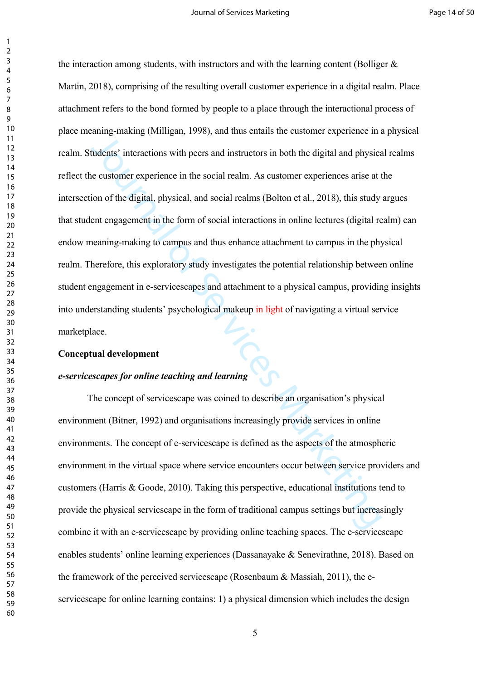The conception of the Servicescape is defined as the spherical interactions in<br>tudents' interactions with peers and instructors in both the digital and physics<br>e customer experience in the social realm. As customer experie the interaction among students, with instructors and with the learning content (Bolliger  $\&$ [Martin, 2018](#page-25-2)), comprising of the resulting overall customer experience in a digital realm. Place attachment refers to the bond formed by people to a place through the interactional process of place meaning-making [\(Milligan, 1998](#page-31-2)), and thus entails the customer experience in a physical realm. Students' interactions with peers and instructors in both the digital and physical realms reflect the customer experience in the social realm. As customer experiences arise at the intersection of the digital, physical, and social realms (Bolton et al., 2018), this study argues that student engagement in the form of social interactions in online lectures (digital realm) can endow meaning-making to campus and thus enhance attachment to campus in the physical realm. Therefore, this exploratory study investigates the potential relationship between online student engagement in e-servicescapes and attachment to a physical campus, providing insights into understanding students' psychological makeup in light of navigating a virtual service marketplace.

#### **Conceptual development**

#### *e-servicescapes for online teaching and learning*

The concept of servicescape was coined to describe an organisation's physical environment (Bitner, 1992) and organisations increasingly provide services in online environments. The concept of e-servicescape is defined as the aspects of the atmospheric environment in the virtual space where service encounters occur between service providers and customers (Harris & Goode, 2010). Taking this perspective, educational institutions tend to provide the physical servicscape in the form of traditional campus settings but increasingly combine it with an e-servicescape by providing online teaching spaces. The e-servicescape enables students' online learning experiences ([Dassanayake & Senevirathne, 2018\)](#page-27-1). Based on the framework of the perceived servicescape ([Rosenbaum & Massiah, 2011](#page-34-1)), the eservicescape for online learning contains: 1) a physical dimension which includes the design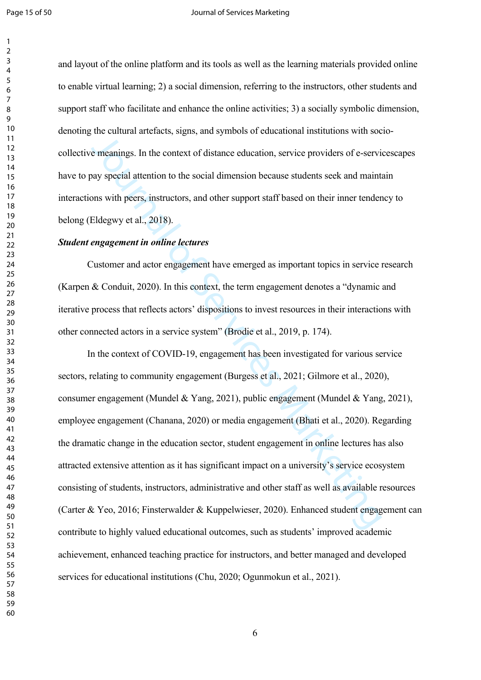and layout of the online platform and its tools as well as the learning materials provided online to enable virtual learning; 2) a social dimension, referring to the instructors, other students and support staff who facilitate and enhance the online activities; 3) a socially symbolic dimension, denoting the cultural artefacts, signs, and symbols of educational institutions with sociocollective meanings. In the context of distance education, service providers of e-servicescapes have to pay special attention to the social dimension because students seek and maintain interactions with peers, instructors, and other support staff based on their inner tendency to belong (Eldegwy et al., 2018).

## *Student engagement in online lectures*

Customer and actor engagement have emerged as important topics in service research ([Karpen & Conduit, 2020](#page-30-0)). In this context, the term engagement denotes a "dynamic and iterative process that reflects actors' dispositions to invest resources in their interactions with other connected actors in a service system" (Brodie et al., 2019, p. 174).

and states are the context of distance education, ser[vi](#page-25-3)ce providers of e-servial meanings. In the context of distance education, service providers of e-servial and stat[es](#page-25-4) of the servial of the servial dimension because stu In the context of COVID-19, engagement has been investigated for various service sectors, relating to community engagement (Burgess et al., 2021; Gilmore et al., 2020), consumer engagement (Mundel & Yang, 2021), public engagement [\(Mundel & Yang, 2021\)](#page-31-3), employee engagement (Chanana, 2020) or media engagement (Bhati et al., 2020). Regarding the dramatic change in the education sector, student engagement in online lectures has also attracted extensive attention as it has significant impact on a university's service ecosystem consisting of students, instructors, administrative and other staff as well as available resources ([Carter & Yeo, 2016](#page-25-5); Finsterwalder & Kuppelwieser, 2020). Enhanced student engagement can contribute to highly valued educational outcomes, such as students' improved academic achievement, enhanced teaching practice for instructors, and better managed and developed services for educational institutions [\(Chu, 2020](#page-27-2); [Ogunmokun et al., 2021\)](#page-32-3).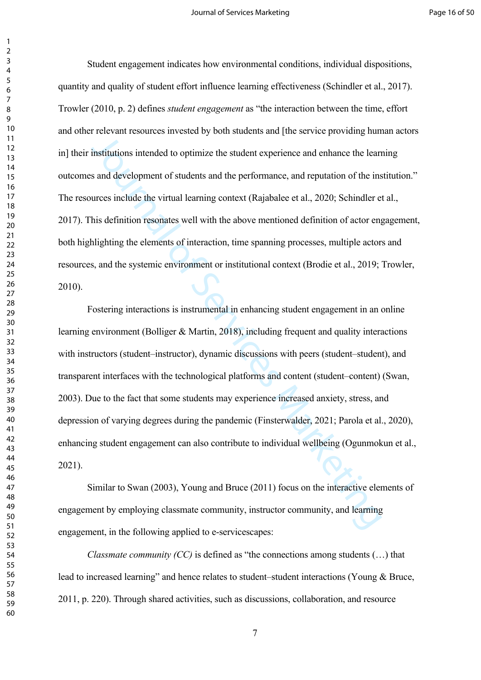Student engagement indicates how environmental conditions, individual dispositions, quantity and quality of student effort influence learning effectiveness ([Schindler et al., 2017\)](#page-34-2). [Trowler \(2010, p. 2\)](#page-35-2) defines *student engagement* as "the interaction between the time, effort and other relevant resources invested by both students and [the service providing human actors in] their institutions intended to optimize the student experience and enhance the learning outcomes and development of students and the performance, and reputation of the institution." The resources include the virtual learning context (Rajabalee et al., 2020; [Schindler et al.,](#page-34-2)  [2017\)](#page-34-2). This definition resonates well with the above mentioned definition of actor engagement, both highlighting the elements of interaction, time spanning processes, multiple actors and resources, and the systemic environment or institutional context (Brodie et al., 2019; [Trowler,](#page-35-2)  [2010\)](#page-35-2).

The vector electric in the activative and pro[vi](#page-25-2)dence and providence and providence and institutions intended to optimize the student experience and enhance the learn sand development of students and the performance, and re Fostering interactions is instrumental in enhancing student engagement in an online learning environment (Bolliger & Martin, 2018), including frequent and quality interactions with instructors (student–instructor), dynamic discussions with peers (student–student), and transparent interfaces with the technological platforms and content (student–content) [\(Swan,](#page-35-3)  [2003\)](#page-35-3). Due to the fact that some students may experience increased anxiety, stress, and depression of varying degrees during the pandemic (Finsterwalder, 2021; [Parola et al., 2020](#page-32-4)), enhancing student engagement can also contribute to individual wellbeing [\(Ogunmokun et al.,](#page-32-3)  [2021\)](#page-32-3).

Similar to Swan (2003), Young and Bruce (2011) focus on the interactive elements of engagement by employing classmate community, instructor community, and learning engagement, in the following applied to e-servicescapes:

*Classmate community (CC)* is defined as "the connections among students (…) that lead to increased learning" and hence relates to student–student interactions ([Young & Bruce,](#page-36-1)  [2011, p. 220\)](#page-36-1). Through shared activities, such as discussions, collaboration, and resource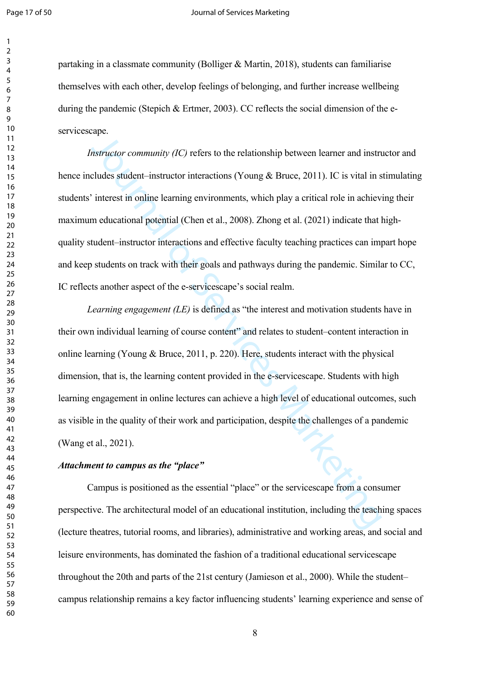#### Page 17 of 50 **Journal of Services Marketing**

partaking in a classmate community ([Bolliger & Martin, 2018\)](#page-25-2), students can familiarise themselves with each other, develop feelings of belonging, and further increase wellbeing during the pandemic ([Stepich & Ertmer, 2003\)](#page-35-4). CC reflects the social dimension of the eservicescape.

*Instructor community (IC)* refers to the relationship between learner and instructor and hence includes student–instructor interactions (Young & Bruce, 2011). IC is vital in stimulating students' interest in online learning environments, which play a critical role in achieving their maximum educational potential (Chen et al., 2008). Zhong et al. (2021) indicate that highquality student–instructor interactions and effective faculty teaching practices can impart hope and keep students on track with their goals and pathways during the pandemic. Similar to CC, IC reflects another aspect of the e-servicescape's social realm.

metric community (IC) refers to the relationship between learner and instricted<br>cludes student-instructor interactions (Young & Bruce, 2011). IC is vital in s<br>interest in online learning environments, which play a critical *Learning engagement (LE)* is defined as "the interest and motivation students have in their own individual learning of course content" and relates to student–content interaction in online learning (Young & Bruce, 2011, p. 220). Here, students interact with the physical dimension, that is, the learning content provided in the e-servicescape. Students with high learning engagement in online lectures can achieve a high level of educational outcomes, such as visible in the quality of their work and participation, despite the challenges of a pandemic ([Wang et al., 2021](#page-35-5)).

## *Attachment to campus as the "place"*

Campus is positioned as the essential "place" or the servicescape from a consumer perspective. The architectural model of an educational institution, including the teaching spaces (lecture theatres, tutorial rooms, and libraries), administrative and working areas, and social and leisure environments, has dominated the fashion of a traditional educational servicescape throughout the 20th and parts of the 21st century (Jamieson et al., 2000). While the student– campus relationship remains a key factor influencing students' learning experience and sense of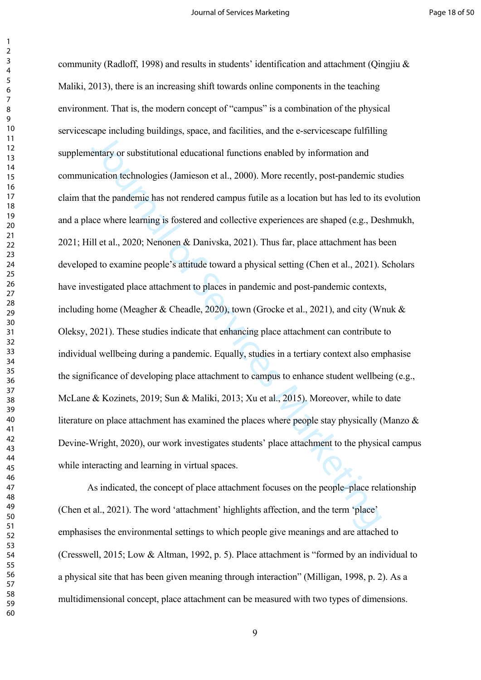int[er](#page-31-4)iory substitutional cluestings, provided and the vertext of the term in place.<br>
Institutional educational functions enabled by information and<br>
interior dechnologies (Jamieson et al., 2000). [M](#page-36-4)ore recently, post-pandem community (Radloff, 1998) and results in students' identification and attachment (Oingjiu  $\&$ Maliki, 2013), there is an increasing shift towards online components in the teaching environment. That is, the modern concept of "campus" is a combination of the physical servicescape including buildings, space, and facilities, and the e-servicescape fulfilling supplementary or substitutional educational functions enabled by information and communication technologies (Jamieson et al., 2000). More recently, post-pandemic studies claim that the pandemic has not rendered campus futile as a location but has led to its evolution and a place where learning is fostered and collective experiences are shaped (e.g., [Deshmukh,](#page-27-5)  [2021;](#page-27-5) Hill et al., 2020; Nenonen & Danivska, 2021). Thus far, place attachment has been developed to examine people's attitude toward a physical setting (Chen et al., 2021). Scholars have investigated place attachment to places in pandemic and post-pandemic contexts, including home (Meagher & Cheadle, 2020), town (Grocke et al., 2021), and city [\(Wnuk &](#page-36-3)  [Oleksy, 2021\)](#page-36-3). These studies indicate that enhancing place attachment can contribute to individual wellbeing during a pandemic. Equally, studies in a tertiary context also emphasise the significance of developing place attachment to campus to enhance student wellbeing (e.g., [McLane & Kozinets, 2019;](#page-31-5) Sun & Maliki, 2013; Xu et al., 2015). Moreover, while to date literature on place attachment has examined the places where people stay physically [\(Manzo &](#page-31-6)  [Devine-Wright, 2020\)](#page-31-6), our work investigates students' place attachment to the physical campus while interacting and learning in virtual spaces.

As indicated, the concept of place attachment focuses on the people–place relationship ([Chen et al., 2021\)](#page-26-1). The word 'attachment' highlights affection, and the term 'place' emphasises the environmental settings to which people give meanings and are attached to ([Cresswell, 2015;](#page-27-6) [Low & Altman, 1992, p. 5\)](#page-31-7). Place attachment is "formed by an individual to a physical site that has been given meaning through interaction" [\(Milligan, 1998, p. 2](#page-31-2)). As a multidimensional concept, place attachment can be measured with two types of dimensions.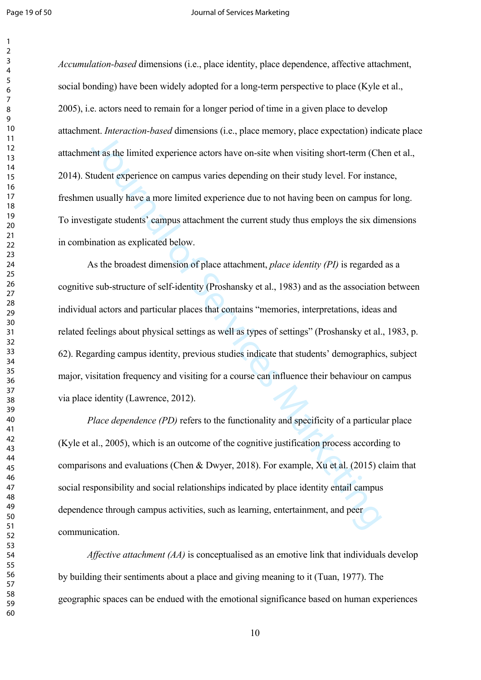*Accumulation-based* dimensions (i.e., place identity, place dependence, affective attachment, social bonding) have been widely adopted for a long-term perspective to place [\(Kyle et al.,](#page-30-2)  [2005\)](#page-30-2), i.e. actors need to remain for a longer period of time in a given place to develop attachment. *Interaction-based* dimensions (i.e., place memory, place expectation) indicate place attachment as the limited experience actors have on-site when visiting short-term ([Chen et al.,](#page-26-4)  [2014\)](#page-26-4). Student experience on campus varies depending on their study level. For instance, freshmen usually have a more limited experience due to not having been on campus for long. To investigate students' campus attachment the current study thus employs the six dimensions in combination as explicated below.

The limited experience ators have only place intended (or), place intended the procedure of the service of the service of control (Chudent experience actors have on-site when visiting short-term (Chudent experience on camp As the broadest dimension of place attachment, *place identity (PI)* is regarded as a cognitive sub-structure of self-identity (Proshansky et al., 1983) and as the association between individual actors and particular places that contains "memories, interpretations, ideas and related feelings about physical settings as well as types of settings" ([Proshansky et al., 1983, p.](#page-33-3)  [62\)](#page-33-3). Regarding campus identity, previous studies indicate that students' demographics, subject major, visitation frequency and visiting for a course can influence their behaviour on campus via place identity (Lawrence, 2012).

*Place dependence (PD)* refers to the functionality and specificity of a particular place ([Kyle et al., 2005\)](#page-30-2), which is an outcome of the cognitive justification process according to comparisons and evaluations (Chen & Dwyer, 2018). For example, Xu et al. (2015) claim that social responsibility and social relationships indicated by place identity entail campus dependence through campus activities, such as learning, entertainment, and peer communication.

*Affective attachment (AA)* is conceptualised as an emotive link that individuals develop by building their sentiments about a place and giving meaning to it [\(Tuan, 1977\)](#page-35-7). The geographic spaces can be endued with the emotional significance based on human experiences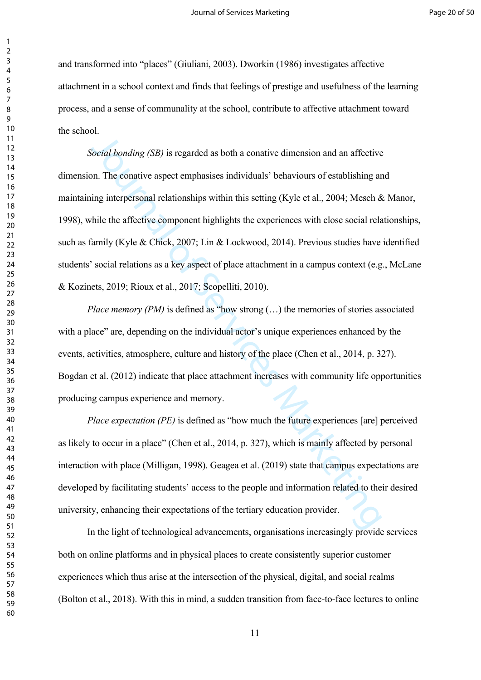and transformed into "places" ([Giuliani, 2003](#page-29-3)). [Dworkin \(1986\)](#page-27-7) investigates affective attachment in a school context and finds that feelings of prestige and usefulness of the learning process, and a sense of communality at the school, contribute to affective attachment toward the school.

Fromthe loading (SB) is regarded as both a conative dimension and an affective<br>on The conative aspect emphasises individuals' behaviours of establishing at<br>ing interpersonal relationships within this setting (Kyle et al. *Social bonding (SB)* is regarded as both a conative dimension and an affective dimension. The conative aspect emphasises individuals' behaviours of establishing and maintaining interpersonal relationships within this setting (Kyle et al., 2004; [Mesch & Manor,](#page-31-8)  [1998\)](#page-31-8), while the affective component highlights the experiences with close social relationships, such as family (Kyle & Chick, 2007; Lin & Lockwood, 2014). Previous studies have identified students' social relations as a key aspect of place attachment in a campus context (e.g., [McLane](#page-31-5)  [& Kozinets, 2019](#page-31-5); Rioux et al., 2017; Scopelliti, 2010).

*Place memory (PM)* is defined as "how strong (...) the memories of stories associated with a place" are, depending on the individual actor's unique experiences enhanced by the events, activities, atmosphere, culture and history of the place (Chen et al., 2014, p. 327). [Bogdan et al. \(2012\)](#page-24-2) indicate that place attachment increases with community life opportunities producing campus experience and memory.

*Place expectation (PE)* is defined as "how much the future experiences [are] perceived as likely to occur in a place" (Chen et al., 2014, p. 327), which is mainly affected by personal interaction with place (Milligan, 1998). Geagea et al. (2019) state that campus expectations are developed by facilitating students' access to the people and information related to their desired university, enhancing their expectations of the tertiary education provider.

In the light of technological advancements, organisations increasingly provide services both on online platforms and in physical places to create consistently superior customer experiences which thus arise at the intersection of the physical, digital, and social realms ([Bolton et al., 2018\)](#page-25-0). With this in mind, a sudden transition from face-to-face lectures to online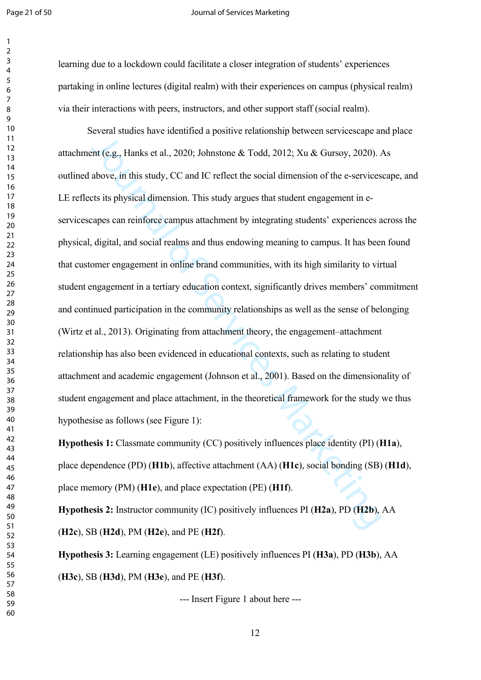#### Page 21 of 50 **Journal of Services Marketing**

learning due to a lockdown could facilitate a closer integration of students' experiences partaking in online lectures (digital realm) with their experiences on campus (physical realm) via their interactions with peers, instructors, and other support staff (social realm). Several studies have identified a positive relationship between servicescape and place attachment (e.g., Hanks et al., 2020; Johnstone & Todd, 2012; Xu & Gursoy, 2020). As outlined above, in this study, CC and IC reflect the social dimension of the e-servicescape, and

[o](#page-29-4)rthology and the columnion and positive relationship between our relationship and the time of the servic[es](#page-30-3)  $\&$  Todd, 2012; Xu  $\&$  Gursoy, 2020).  $\&$  above, in this study, CC and IC reflect the social dimension o LE reflects its physical dimension. This study argues that student engagement in eservicescapes can reinforce campus attachment by integrating students' experiences across the physical, digital, and social realms and thus endowing meaning to campus. It has been found that customer engagement in online brand communities, with its high similarity to virtual student engagement in a tertiary education context, significantly drives members' commitment and continued participation in the community relationships as well as the sense of belonging (Wirtz et al., 2013). Originating from attachment theory, the engagement–attachment relationship has also been evidenced in educational contexts, such as relating to student attachment and academic engagement (Johnson et al., 2001). Based on the dimensionality of student engagement and place attachment, in the theoretical framework for the study we thus hypothesise as follows (see Figure 1):

**Hypothesis 1:** Classmate community (CC) positively influences place identity (PI) (**H1a**), place dependence (PD) (**H1b**), affective attachment (AA) (**H1c**), social bonding (SB) (**H1d**), place memory (PM) (**H1e**), and place expectation (PE) (**H1f**).

**Hypothesis 2:** Instructor community (IC) positively influences PI (**H2a**), PD (**H2b**), AA (**H2c**), SB (**H2d**), PM (**H2e**), and PE (**H2f**).

**Hypothesis 3:** Learning engagement (LE) positively influences PI (**H3a**), PD (**H3b**), AA (**H3c**), SB (**H3d**), PM (**H3e**), and PE (**H3f**).

--- Insert Figure 1 about here ---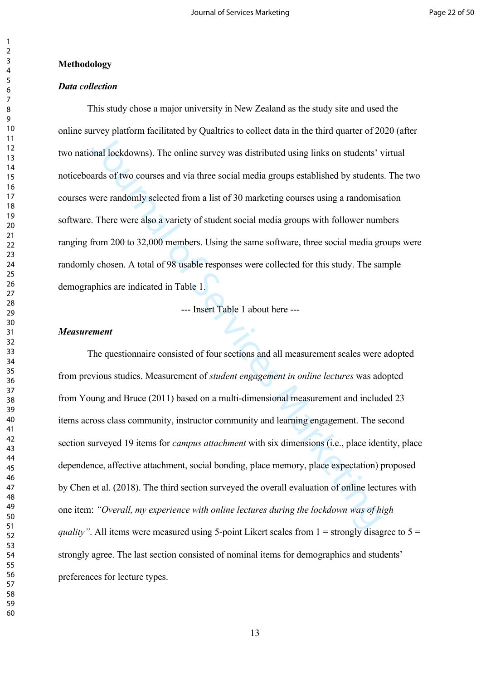#### **Methodology**

## *Data collection*

This study chose a major university in New Zealand as the study site and used the online survey platform facilitated by Qualtrics to collect data in the third quarter of 2020 (after two national lockdowns). The online survey was distributed using links on students' virtual noticeboards of two courses and via three social media groups established by students. The two courses were randomly selected from a list of 30 marketing courses using a randomisation software. There were also a variety of student social media groups with follower numbers ranging from 200 to 32,000 members. Using the same software, three social media groups were randomly chosen. A total of 98 usable responses were collected for this study. The sample demographics are indicated in Table 1.

--- Insert Table 1 about here ---

## *Measurement*

The parameter of statement and the services Marketing Internal and the services And lockdowns). The online survey was distributed using links on students' varias of two courses and via three social media groups established The questionnaire consisted of four sections and all measurement scales were adopted from previous studies. Measurement of *student engagement in online lectures* was adopted from Young and Bruce (2011) based on a multi-dimensional measurement and included 23 items across class community, instructor community and learning engagement. The second section surveyed 19 items for *campus attachment* with six dimensions (i.e., place identity, place dependence, affective attachment, social bonding, place memory, place expectation) proposed by [Chen et al. \(2018\).](#page-26-6) The third section surveyed the overall evaluation of online lectures with one item: *"Overall, my experience with online lectures during the lockdown was of high quality"*. All items were measured using 5-point Likert scales from  $1 =$  strongly disagree to  $5 =$ strongly agree. The last section consisted of nominal items for demographics and students' preferences for lecture types.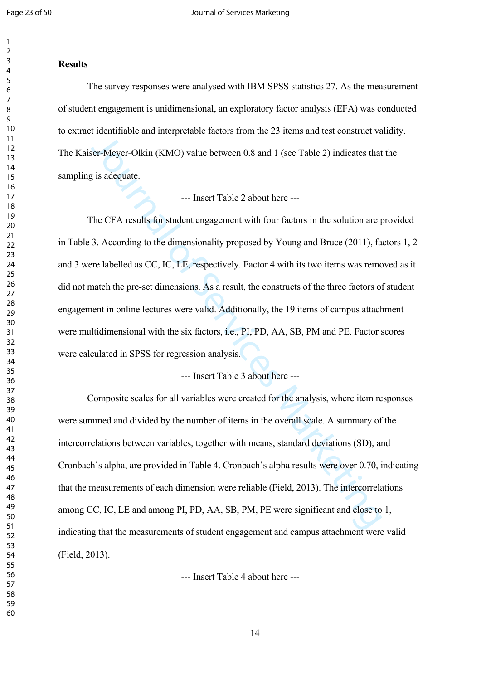#### 

#### **Results**

The survey responses were analysed with IBM SPSS statistics 27. As the measurement of student engagement is unidimensional, an exploratory factor analysis (EFA) was conducted to extract identifiable and interpretable factors from the 23 items and test construct validity. The Kaiser-Meyer-Olkin (KMO) value between 0.8 and 1 (see Table 2) indicates that the sampling is adequate.

--- Insert Table 2 about here ---

Maximization and interpretation theres were the matter of exerculture or<br>
For-Meyer-Olkin (KMO) value between 0.8 and 1 (see Table 2) indicates that<br>  $\frac{1}{2}$  is adequate.<br>  $\frac{1}{2}$  in the service of Figure 1.<br>
The CFA The CFA results for student engagement with four factors in the solution are provided in Table 3. According to the dimensionality proposed by Young and Bruce (2011), factors 1, 2 and 3 were labelled as CC, IC, LE, respectively. Factor 4 with its two items was removed as it did not match the pre-set dimensions. As a result, the constructs of the three factors of student engagement in online lectures were valid. Additionally, the 19 items of campus attachment were multidimensional with the six factors, i.e., PI, PD, AA, SB, PM and PE. Factor scores were calculated in SPSS for regression analysis.

--- Insert Table 3 about here ---

Composite scales for all variables were created for the analysis, where item responses were summed and divided by the number of items in the overall scale. A summary of the intercorrelations between variables, together with means, standard deviations (SD), and Cronbach's alpha, are provided in Table 4. Cronbach's alpha results were over 0.70, indicating that the measurements of each dimension were reliable (Field, 2013). The intercorrelations among CC, IC, LE and among PI, PD, AA, SB, PM, PE were significant and close to 1, indicating that the measurements of student engagement and campus attachment were valid ([Field, 2013](#page-28-5)).

--- Insert Table 4 about here ---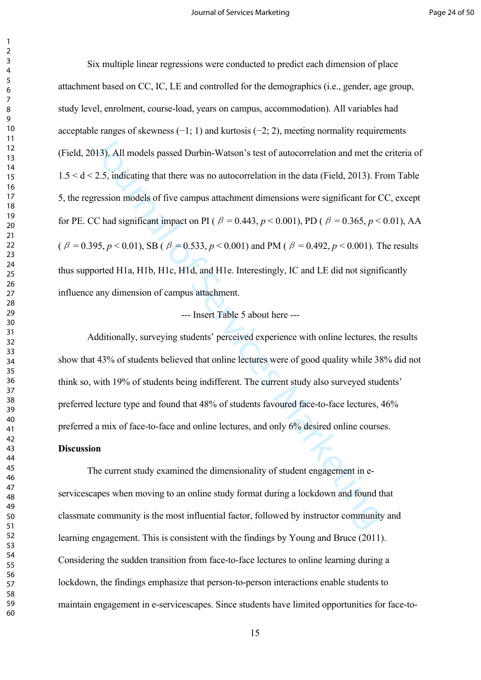Journal of Services Marketing Six multiple linear regressions were conducted to predict each dimension of place attachment based on CC, IC, LE and controlled for the demographics (i.e., gender, age group, study level, enrolment, course-load, years on campus, accommodation). All variables had acceptable ranges of skewness  $(-1, 1)$  and kurtosis  $(-2, 2)$ , meeting normality requirements ([Field, 2013](#page-28-5)). All models passed Durbin-Watson's test of autocorrelation and met the criteria of  $1.5 < d < 2.5$ , indicating that there was no autocorrelation in the data (Field, 2013). From Table 5, the regression models of five campus attachment dimensions were significant for CC, except for PE. CC had significant impact on PI ( $\beta = 0.443$ ,  $p < 0.001$ ), PD ( $\beta = 0.365$ ,  $p < 0.01$ ), AA (*β* = 0.395, *p* < 0.01), SB (*β* = 0.533, *p* < 0.001) and PM (*β* = 0.492, *p* < 0.001). The results thus supported H1a, H1b, H1c, H1d, and H1e. Interestingly, IC and LE did not significantly influence any dimension of campus attachment.

## --- Insert Table 5 about here ---

Additionally, surveying students' perceived experience with online lectures, the results show that 43% of students believed that online lectures were of good quality while 38% did not think so, with 19% of students being indifferent. The current study also surveyed students' preferred lecture type and found that 48% of students favoured face-to-face lectures, 46% preferred a mix of face-to-face and online lectures, and only 6% desired online courses.

#### **Discussion**

The current study examined the dimensionality of student engagement in eservicescapes when moving to an online study format during a lockdown and found that classmate community is the most influential factor, followed by instructor community and learning engagement. This is consistent with the findings by [Young and Bruce \(2011\)](#page-36-1). Considering the sudden transition from face-to-face lectures to online learning during a lockdown, the findings emphasize that person-to-person interactions enable students to maintain engagement in e-servicescapes. Since students have limited opportunities for face-to-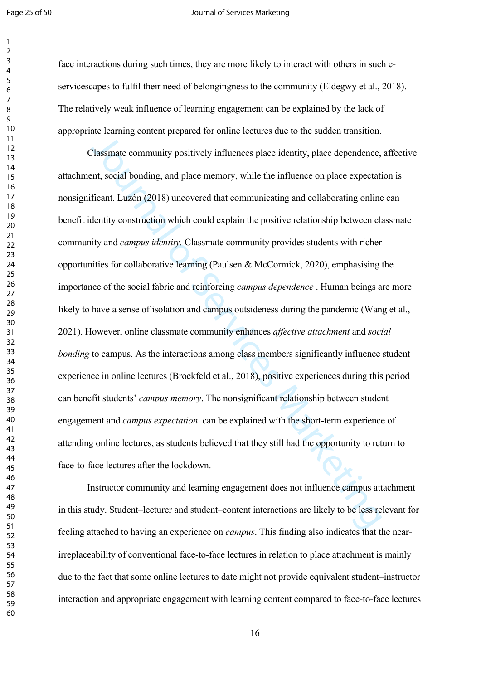#### Page 25 of 50 **Journal of Services Marketing**

face interactions during such times, they are more likely to interact with others in such eservicescapes to fulfil their need of belongingness to the community ([Eldegwy et al., 2018\)](#page-28-2). The relatively weak influence of learning engagement can be explained by the lack of appropriate learning content prepared for online lectures due to the sudden transition.

Th[e](#page-25-6) standard constraint properties of Service and Service Cale is the Service dependence,<br>The simal bonding, and place memory, while the influence on place expectation.<br>In the social bonding, and place memory, while the in Classmate community positively influences place identity, place dependence, affective attachment, social bonding, and place memory, while the influence on place expectation is nonsignificant. Luzón (2018) uncovered that communicating and collaborating online can benefit identity construction which could explain the positive relationship between classmate community and *campus identity.* Classmate community provides students with richer opportunities for collaborative learning (Paulsen & McCormick, 2020), emphasising the importance of the social fabric and reinforcing *campus dependence* . Human beings are more likely to have a sense of isolation and campus outsideness during the pandemic (Wang et al., [2021\)](#page-35-5). However, online classmate community enhances *affective attachment* and *social bonding* to campus. As the interactions among class members significantly influence student experience in online lectures (Brockfeld et al., 2018), positive experiences during this period can benefit students' *campus memory*. The nonsignificant relationship between student engagement and *campus expectation*. can be explained with the short-term experience of attending online lectures, as students believed that they still had the opportunity to return to face-to-face lectures after the lockdown.

Instructor community and learning engagement does not influence campus attachment in this study. Student–lecturer and student–content interactions are likely to be less relevant for feeling attached to having an experience on *campus*. This finding also indicates that the nearirreplaceability of conventional face-to-face lectures in relation to place attachment is mainly due to the fact that some online lectures to date might not provide equivalent student–instructor interaction and appropriate engagement with learning content compared to face-to-face lectures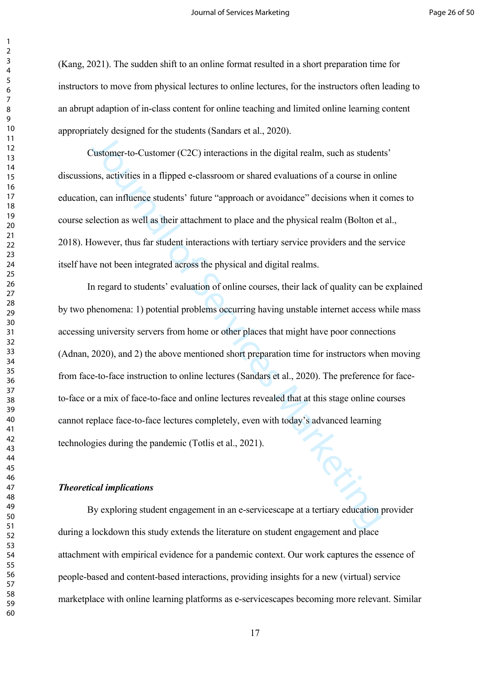([Kang, 2021\)](#page-29-0). The sudden shift to an online format resulted in a short preparation time for instructors to move from physical lectures to online lectures, for the instructors often leading to an abrupt adaption of in-class content for online teaching and limited online learning content appropriately designed for the students ([Sandars et al., 2020\)](#page-34-5).

Customer-to-Customer (C2C) interactions in the digital realm, such as students' discussions, activities in a flipped e-classroom or shared evaluations of a course in online education, can influence students' future "approach or avoidance" decisions when it comes to course selection as well as their attachment to place and the physical realm [\(Bolton et al.,](#page-25-0)  [2018\)](#page-25-0). However, thus far student interactions with tertiary service providers and the service itself have not been integrated across the physical and digital realms.

They adopted to the shadow (calibration of the digital realm, such as student<br>
2ustomer-to-Customer (C2C) interactions in the digital realm, such as student<br>
ans, activiti[es](#page-36-3) in a flipped e-classroom or shared evaluations o In regard to students' evaluation of online courses, their lack of quality can be explained by two phenomena: 1) potential problems occurring having unstable internet access while mass accessing university servers from home or other places that might have poor connections ([Adnan, 2020\)](#page-24-1), and 2) the above mentioned short preparation time for instructors when moving from face-to-face instruction to online lectures (Sandars et al., 2020). The preference for faceto-face or a mix of face-to-face and online lectures revealed that at this stage online courses cannot replace face-to-face lectures completely, even with today's advanced learning technologies during the pandemic (Totlis et al., 2021). By exploring student engagement in an e-servicescape at a tertiary education provider

#### *Theoretical implications*

during a lockdown this study extends the literature on student engagement and place attachment with empirical evidence for a pandemic context. Our work captures the essence of people-based and content-based interactions, providing insights for a new (virtual) service marketplace with online learning platforms as e-servicescapes becoming more relevant. Similar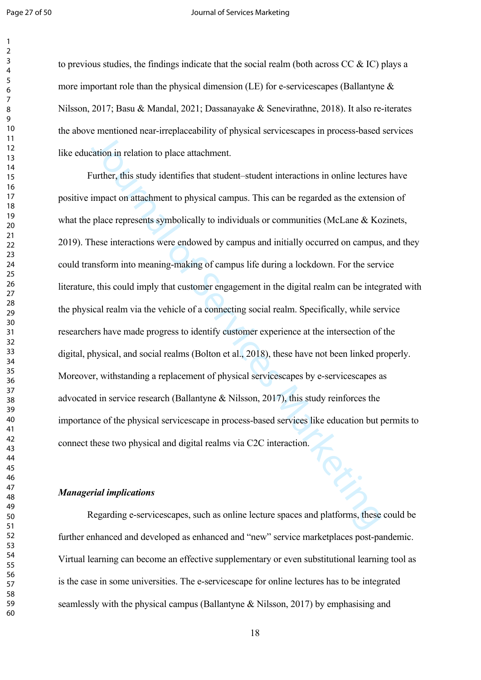#### Page 27 of 50 **Journal of Services Marketing**

to previous studies, the findings indicate that the social realm (both across  $CC \& IC$ ) plays a more important role than the physical dimension (LE) for e-servicescapes (Ballantyne  $\&$ [Nilsson, 2017](#page-24-0); [Basu & Mandal, 2021;](#page-24-5) [Dassanayake & Senevirathne, 2018](#page-27-1)). It also re-iterates the above mentioned near-irreplaceability of physical servicescapes in process-based services like education in relation to place attachment.

Solution in relations and interpretation of Progression Contribution in relation in relation to pla[ce](#page-25-0) attachment.<br>
Station in relation to place attachment.<br>
Station in relation to physical campus. This can be regarded as t Further, this study identifies that student–student interactions in online lectures have positive impact on attachment to physical campus. This can be regarded as the extension of what the place represents symbolically to individuals or communities (McLane & Kozinets, [2019\)](#page-31-5). These interactions were endowed by campus and initially occurred on campus, and they could transform into meaning-making of campus life during a lockdown. For the service literature, this could imply that customer engagement in the digital realm can be integrated with the physical realm via the vehicle of a connecting social realm. Specifically, while service researchers have made progress to identify customer experience at the intersection of the digital, physical, and social realms (Bolton et al., 2018), these have not been linked properly. Moreover, withstanding a replacement of physical servicescapes by e-servicescapes as advocated in service research (Ballantyne & Nilsson, 2017), this study reinforces the importance of the physical servicescape in process-based services like education but permits to connect these two physical and digital realms via C2C interaction.

## *Managerial implications*

Regarding e-servicescapes, such as online lecture spaces and platforms, these could be further enhanced and developed as enhanced and "new" service marketplaces post-pandemic. Virtual learning can become an effective supplementary or even substitutional learning tool as is the case in some universities. The e-servicescape for online lectures has to be integrated seamlessly with the physical campus [\(Ballantyne & Nilsson, 2017](#page-24-0)) by emphasising and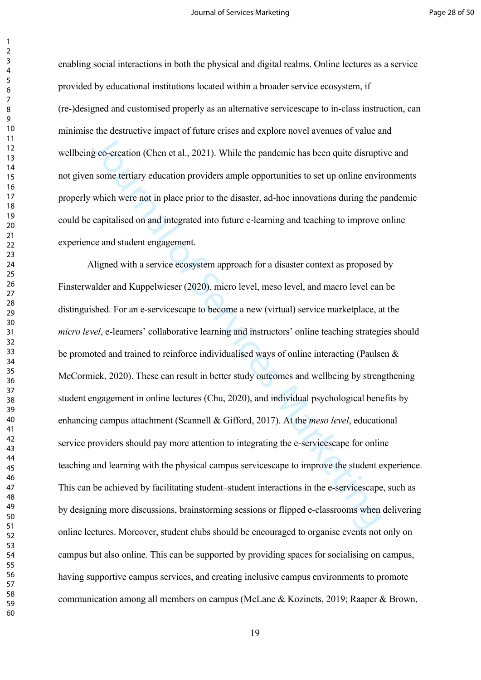enabling social interactions in both the physical and digital realms. Online lectures as a service provided by educational institutions located within a broader service ecosystem, if (re-)designed and customised properly as an alternative servicescape to in-class instruction, can minimise the destructive impact of future crises and explore novel avenues of value and wellbeing co-creation (Chen et al., 2021). While the pandemic has been quite disruptive and not given some tertiary education providers ample opportunities to set up online environments properly which were not in place prior to the disaster, ad-hoc innovations during the pandemic could be capitalised on and integrated into future e-learning and teaching to improve online experience and student engagement.

geo-creation (Chen et al., 2021). While the pandemic has been quite disruption<br>geo-creation (Chen et al., 2021). While the pandemic has been quite disruption<br>some territary education providers ample opportunities to set up Aligned with a service ecosystem approach for a disaster context as proposed by [Finsterwalder and Kuppelwieser \(2020\)](#page-28-0), micro level, meso level, and macro level can be distinguished. For an e-servicescape to become a new (virtual) service marketplace, at the *micro level*, e-learners' collaborative learning and instructors' online teaching strategies should be promoted and trained to reinforce individualised ways of online interacting ([Paulsen &](#page-32-6)  [McCormick, 2020](#page-32-6)). These can result in better study outcomes and wellbeing by strengthening student engagement in online lectures (Chu, 2020), and individual psychological benefits by enhancing campus attachment (Scannell & Gifford, 2017). At the *meso level*, educational service providers should pay more attention to integrating the e-servicescape for online teaching and learning with the physical campus servicescape to improve the student experience. This can be achieved by facilitating student–student interactions in the e-servicescape, such as by designing more discussions, brainstorming sessions or flipped e-classrooms when delivering online lectures. Moreover, student clubs should be encouraged to organise events not only on campus but also online. This can be supported by providing spaces for socialising on campus, having supportive campus services, and creating inclusive campus environments to promote communication among all members on campus ([McLane & Kozinets, 2019](#page-31-5); [Raaper & Brown,](#page-33-4)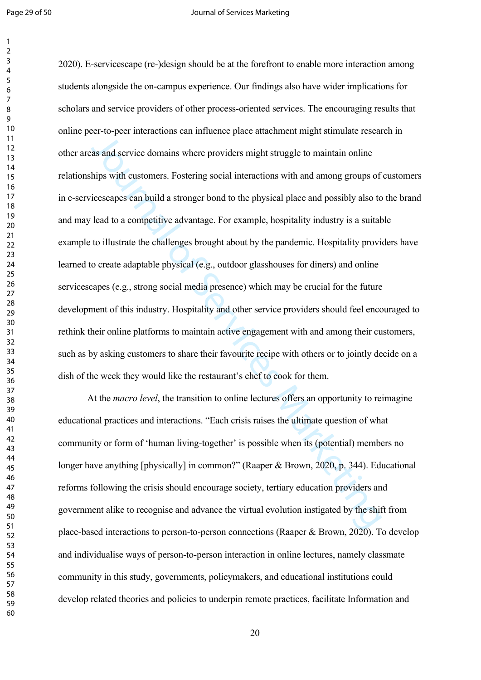#### Page 29 of 50 **Journal of Services Marketing**

as and service domains where providers might struggle to maintain online<br>as and service domains where providers might struggle to maintain online<br>hips with customers. Fostering social interactions with and among groups of [2020\)](#page-33-4). E-servicescape (re-)design should be at the forefront to enable more interaction among students alongside the on-campus experience. Our findings also have wider implications for scholars and service providers of other process-oriented services. The encouraging results that online peer-to-peer interactions can influence place attachment might stimulate research in other areas and service domains where providers might struggle to maintain online relationships with customers. Fostering social interactions with and among groups of customers in e-servicescapes can build a stronger bond to the physical place and possibly also to the brand and may lead to a competitive advantage. For example, hospitality industry is a suitable example to illustrate the challenges brought about by the pandemic. Hospitality providers have learned to create adaptable physical (e.g., outdoor glasshouses for diners) and online servicescapes (e.g., strong social media presence) which may be crucial for the future development of this industry. Hospitality and other service providers should feel encouraged to rethink their online platforms to maintain active engagement with and among their customers, such as by asking customers to share their favourite recipe with others or to jointly decide on a dish of the week they would like the restaurant's chef to cook for them.

At the *macro level*, the transition to online lectures offers an opportunity to reimagine educational practices and interactions. "Each crisis raises the ultimate question of what community or form of 'human living-together' is possible when its (potential) members no longer have anything [physically] in common?" (Raaper & Brown, 2020, p. 344). Educational reforms following the crisis should encourage society, tertiary education providers and government alike to recognise and advance the virtual evolution instigated by the shift from place-based interactions to person-to-person connections ([Raaper & Brown, 2020\)](#page-33-4). To develop and individualise ways of person-to-person interaction in online lectures, namely classmate community in this study, governments, policymakers, and educational institutions could develop related theories and policies to underpin remote practices, facilitate Information and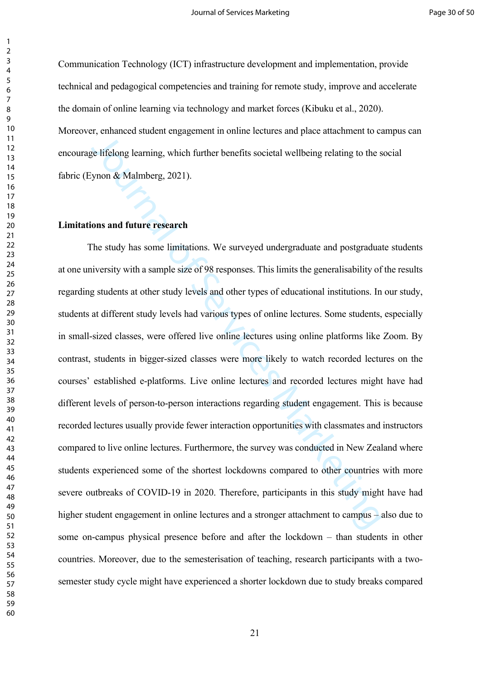Communication Technology (ICT) infrastructure development and implementation, provide technical and pedagogical competencies and training for remote study, improve and accelerate the domain of online learning via technology and market forces [\(Kibuku et al., 2020\)](#page-30-7). Moreover, enhanced student engagement in online lectures and place attachment to campus can encourage lifelong learning, which further benefits societal wellbeing relating to the social fabric (Eynon & Malmberg, 2021).

## **Limitations and future research**

 $\mu$ , summered and and any any annual of the service and place and place and place in the services  $\mu$  is diffelong learning, which further benefits societal wellbeing relating to the synon & Malmberg, 2021).<br> **Ons and f** The study has some limitations. We surveyed undergraduate and postgraduate students at one university with a sample size of 98 responses. This limits the generalisability of the results regarding students at other study levels and other types of educational institutions. In our study, students at different study levels had various types of online lectures. Some students, especially in small-sized classes, were offered live online lectures using online platforms like Zoom. By contrast, students in bigger-sized classes were more likely to watch recorded lectures on the courses' established e-platforms. Live online lectures and recorded lectures might have had different levels of person-to-person interactions regarding student engagement. This is because recorded lectures usually provide fewer interaction opportunities with classmates and instructors compared to live online lectures. Furthermore, the survey was conducted in New Zealand where students experienced some of the shortest lockdowns compared to other countries with more severe outbreaks of COVID-19 in 2020. Therefore, participants in this study might have had higher student engagement in online lectures and a stronger attachment to campus – also due to some on-campus physical presence before and after the lockdown – than students in other countries. Moreover, due to the semesterisation of teaching, research participants with a twosemester study cycle might have experienced a shorter lockdown due to study breaks compared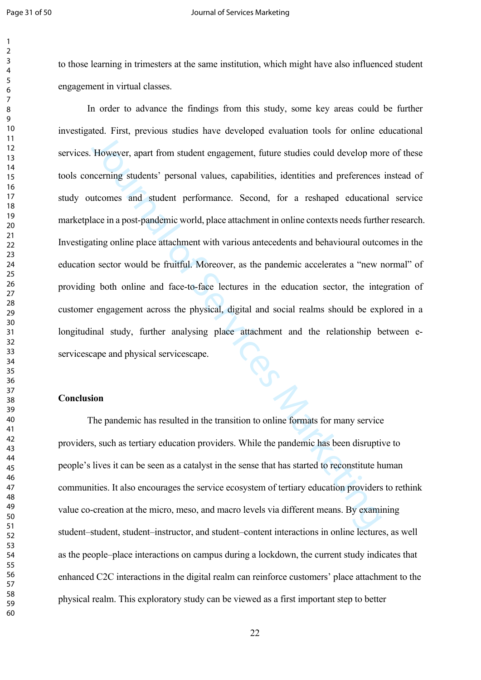to those learning in trimesters at the same institution, which might have also influenced student engagement in virtual classes.

However, apart from student engagement, future studies could develop mo<br>
However, apart from student engagement, future studies could develop mo<br>
necerning students' personal values, capabilities, identities and preference In order to advance the findings from this study, some key areas could be further investigated. First, previous studies have developed evaluation tools for online educational services. However, apart from student engagement, future studies could develop more of these tools concerning students' personal values, capabilities, identities and preferences instead of study outcomes and student performance. Second, for a reshaped educational service marketplace in a post-pandemic world, place attachment in online contexts needs further research. Investigating online place attachment with various antecedents and behavioural outcomes in the education sector would be fruitful. Moreover, as the pandemic accelerates a "new normal" of providing both online and face-to-face lectures in the education sector, the integration of customer engagement across the physical, digital and social realms should be explored in a longitudinal study, further analysing place attachment and the relationship between eservicescape and physical servicescape.

#### **Conclusion**

The pandemic has resulted in the transition to online formats for many service providers, such as tertiary education providers. While the pandemic has been disruptive to people's lives it can be seen as a catalyst in the sense that has started to reconstitute human communities. It also encourages the service ecosystem of tertiary education providers to rethink value co-creation at the micro, meso, and macro levels via different means. By examining student–student, student–instructor, and student–content interactions in online lectures, as well as the people–place interactions on campus during a lockdown, the current study indicates that enhanced C2C interactions in the digital realm can reinforce customers' place attachment to the physical realm. This exploratory study can be viewed as a first important step to better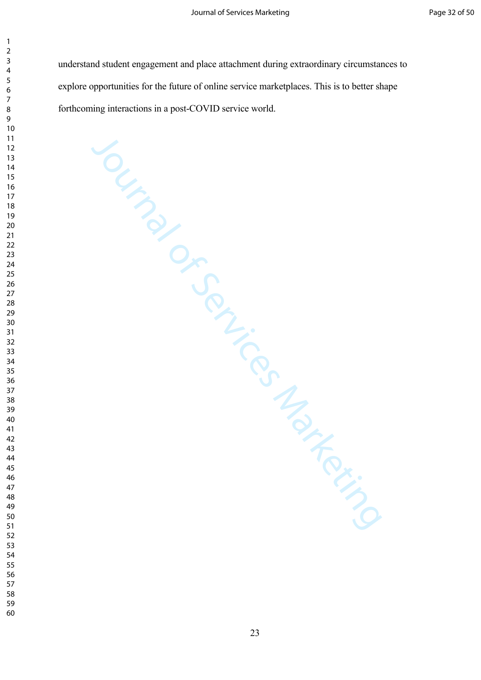understand student engagement and place attachment during extraordinary circumstances to explore opportunities for the future of online service marketplaces. This is to better shape forthcoming interactions in a post-COVID service world.

Journal of Services Marketing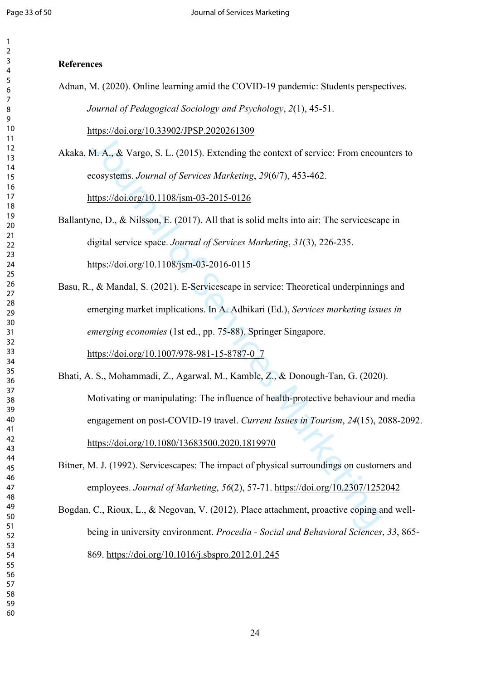#### 

## **References**

Adnan, M. (2020). Online learning amid the COVID-19 pandemic: Students perspectives. *Journal of Pedagogical Sociology and Psychology*, *2*(1), 45-51.

<https://doi.org/10.33902/JPSP.2020261309>

<span id="page-24-1"></span>Akaka, M. A., & Vargo, S. L. (2015). Extending the context of service: From encounters to ecosystems. *Journal of Services Marketing*, *29*(6/7), 453-462.

https://doi.org/10.1108/jsm-03-2015-0126

- <span id="page-24-0"></span>Ballantyne, D., & Nilsson, E. (2017). All that is solid melts into air: The servicescape in digital service space. *Journal of Services Marketing*, *31*(3), 226-235. https://doi.org/10.1108/jsm-03-2016-0115
- <span id="page-24-5"></span><span id="page-24-4"></span>Basu, R., & Mandal, S. (2021). E-Servicescape in service: Theoretical underpinnings and emerging market implications. In A. Adhikari (Ed.), *Services marketing issues in emerging economies* (1st ed., pp. 75-88). Springer Singapore. https://doi.org/10.1007/978-981-15-8787-0\_7
- M. A., & Vargo, S. L. (2015). Extending the context of service: From encod<br>cosystems. Jo[urn](https://doi.org/10.1108/jsm-03-2015-0126)al [of](https://doi.org/10.1108/jsm-03-2016-0115) Servi[ce](https://doi.org/10.1007/978-981-15-8787-0_7)s Marke[tin](https://doi.org/10.2307/1252042)g, 29(6/7), 453-462.<br>ttps://doi.org/10.1108/jsm-03-2015-0126<br>ne, D., & Nilsson, E. (2017). All that is solid Bhati, A. S., Mohammadi, Z., Agarwal, M., Kamble, Z., & Donough-Tan, G. (2020). Motivating or manipulating: The influence of health-protective behaviour and media engagement on post-COVID-19 travel. *Current Issues in Tourism*, *24*(15), 2088-2092. https://doi.org/10.1080/13683500.2020.1819970
- <span id="page-24-3"></span>Bitner, M. J. (1992). Servicescapes: The impact of physical surroundings on customers and employees. *Journal of Marketing*, *56*(2), 57-71. https://doi.org/10.2307/1252042
- <span id="page-24-2"></span>Bogdan, C., Rioux, L., & Negovan, V. (2012). Place attachment, proactive coping and wellbeing in university environment. *Procedia - Social and Behavioral Sciences*, *33*, 865- 869. <https://doi.org/10.1016/j.sbspro.2012.01.245>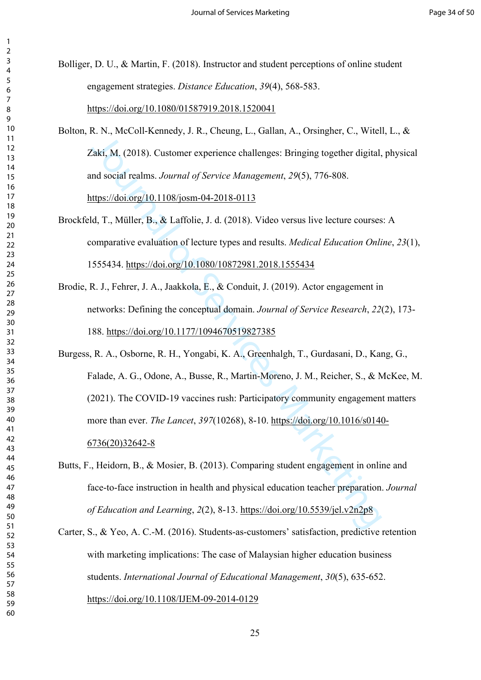<span id="page-25-2"></span>Bolliger, D. U., & Martin, F. (2018). Instructor and student perceptions of online student engagement strategies. *Distance Education*, *39*(4), 568-583. <https://doi.org/10.1080/01587919.2018.1520041>

<span id="page-25-0"></span>Bolton, R. N., McColl-Kennedy, J. R., Cheung, L., Gallan, A., Orsingher, C., Witell, L., & Zaki, M. (2018). Customer experience challenges: Bringing together digital, physical and social realms. *Journal of Service Management*, *29*(5), 776-808. https://doi.org/10.1108/josm-04-2018-0113

- <span id="page-25-6"></span>Brockfeld, T., Müller, B., & Laffolie, J. d. (2018). Video versus live lecture courses: A comparative evaluation of lecture types and results. *Medical Education Online*, *23*(1), 1555434. https://doi.org/10.1080/10872981.2018.1555434
- <span id="page-25-4"></span><span id="page-25-3"></span>Brodie, R. J., Fehrer, J. A., Jaakkola, E., & Conduit, J. (2019). Actor engagement in networks: Defining the conceptual domain. *Journal of Service Research*, *22*(2), 173- 188. https://doi.org/10.1177/1094670519827385

Alth, M. (2018). Customer experience challenges: Bringing together digital,<br>aki, M. (2018). Customer experience challenges: Bringing together digital,<br>and social realms. Jo[urn](https://doi.org/10.1108/josm-04-2018-0113)al [of](https://doi.org/10.1080/10872981.2018.1555434) Ser[vi](https://doi.org/10.1177/1094670519827385)ce [Ma](https://doi.org/10.1016/s0140-6736(20)32642-8)nagement, 29(5), 776-808.<br>ttps Burgess, R. A., Osborne, R. H., Yongabi, K. A., Greenhalgh, T., Gurdasani, D., Kang, G., Falade, A. G., Odone, A., Busse, R., Martin-Moreno, J. M., Reicher, S., & McKee, M. (2021). The COVID-19 vaccines rush: Participatory community engagement matters more than ever. *The Lancet*, *397*(10268), 8-10. https://doi.org/10.1016/s0140- 6736(20)32642-8

- <span id="page-25-1"></span>Butts, F., Heidorn, B., & Mosier, B. (2013). Comparing student engagement in online and face-to-face instruction in health and physical education teacher preparation. *Journal of Education and Learning*, *2*(2), 8-13. https://doi.org/10.5539/jel.v2n2p8
- <span id="page-25-5"></span>Carter, S., & Yeo, A. C.-M. (2016). Students-as-customers' satisfaction, predictive retention with marketing implications: The case of Malaysian higher education business students. *International Journal of Educational Management*, *30*(5), 635-652. <https://doi.org/10.1108/IJEM-09-2014-0129>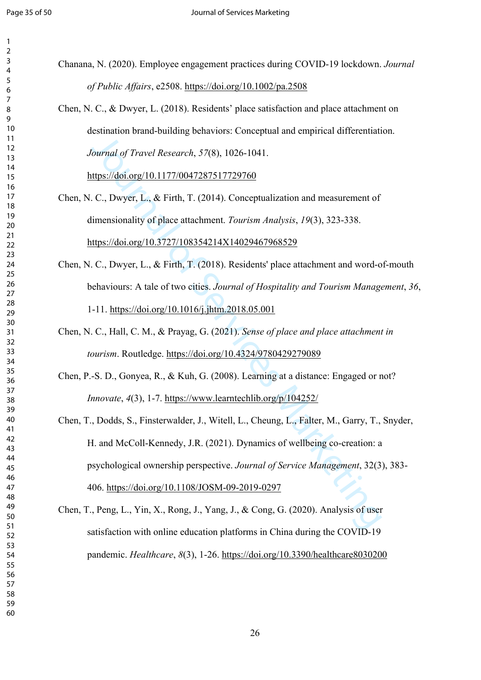- <span id="page-26-2"></span>Chanana, N. (2020). Employee engagement practices during COVID-19 lockdown. *Journal of Public Affairs*, e2508. <https://doi.org/10.1002/pa.2508>
	- Chen, N. C., & Dwyer, L. (2018). Residents' place satisfaction and place attachment on destination brand-building behaviors: Conceptual and empirical differentiation. *Journal of Travel Research*, *57*(8), 1026-1041.

https://doi.org/10.1177/0047287517729760

- <span id="page-26-4"></span>Chen, N. C., Dwyer, L., & Firth, T. (2014). Conceptualization and measurement of dimensionality of place attachment. *Tourism Analysis*, *19*(3), 323-338. https://doi.org/10.3727/108354214X14029467968529
- <span id="page-26-6"></span>Chen, N. C., Dwyer, L., & Firth, T. (2018). Residents' place attachment and word-of-mouth behaviours: A tale of two cities. *Journal of Hospitality and Tourism Management*, *36*, 1-11. https://doi.org/10.1016/j.jhtm.2018.05.001
- <span id="page-26-1"></span>Chen, N. C., Hall, C. M., & Prayag, G. (2021). *Sense of place and place attachment in tourism*. Routledge. https://doi.org/10.4324/9780429279089
- <span id="page-26-3"></span><span id="page-26-0"></span>Chen, P.-S. D., Gonyea, R., & Kuh, G. (2008). Learning at a distance: Engaged or not? *Innovate*, *4*(3), 1-7. https://www.learntechlib.org/p/104252/
- <span id="page-26-5"></span>[ou](https://doi.org/10.1177/0047287517729760)rna[l o](https://doi.org/10.3727/108354214X14029467968529)f Travel Research, 57(8), 1026-1041.<br>
fournal of Travel Research, 57(8), 1026-1041.<br>
Ittps://doi.org/10.1177/0047287517729760<br>
C., Dwy[er](https://doi.org/10.1016/j.jhtm.2018.05.001), L., & Firth, T. (2014). Con[ce](https://doi.org/10.4324/9780429279089)ptualization and measurement of<br>
timesionality Chen, T., Dodds, S., Finsterwalder, J., Witell, L., Cheung, L., Falter, M., Garry, T., Snyder, H. and McColl-Kennedy, J.R. (2021). Dynamics of wellbeing co-creation: a psychological ownership perspective. *Journal of Service Management*, 32(3), 383- 406. https://doi.org/10.1108/JOSM-09-2019-0297
- Chen, T., Peng, L., Yin, X., Rong, J., Yang, J., & Cong, G. (2020). Analysis of user satisfaction with online education platforms in China during the COVID-19 pandemic. *Healthcare*, *8*(3), 1-26. <https://doi.org/10.3390/healthcare8030200>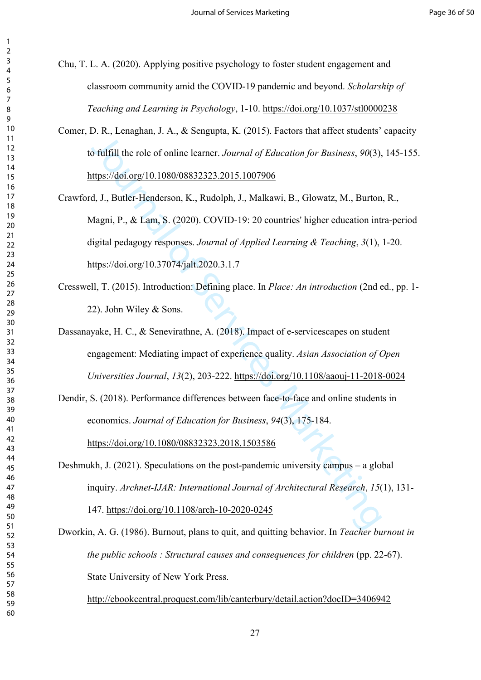<span id="page-27-2"></span>Chu, T. L. A. (2020). Applying positive psychology to foster student engagement and classroom community amid the COVID-19 pandemic and beyond. *Scholarship of Teaching and Learning in Psychology*, 1-10.<https://doi.org/10.1037/stl0000238>

- <span id="page-27-3"></span>Comer, D. R., Lenaghan, J. A., & Sengupta, K. (2015). Factors that affect students' capacity to fulfill the role of online learner. *Journal of Education for Business*, *90*(3), 145-155. https://doi.org/10.1080/08832323.2015.1007906
- <span id="page-27-0"></span>J[ou](https://doi.org/10.1080/08832323.2015.1007906)rnal [of](https://doi.org/10.37074/jalt.2020.3.1.7) Servic[es](https://doi.org/10.1108/aaouj-11-2018-0024) Marketing Crawford, J., Butler-Henderson, K., Rudolph, J., Malkawi, B., Glowatz, M., Burton, R., Magni, P., & Lam, S. (2020). COVID-19: 20 countries' higher education intra-period digital pedagogy responses. *Journal of Applied Learning & Teaching*, *3*(1), 1-20. https://doi.org/10.37074/jalt.2020.3.1.7
- <span id="page-27-6"></span>Cresswell, T. (2015). Introduction: Defining place. In *Place: An introduction* (2nd ed., pp. 1- 22). John Wiley & Sons.
- <span id="page-27-1"></span>Dassanayake, H. C., & Senevirathne, A. (2018). Impact of e-servicescapes on student engagement: Mediating impact of experience quality. *Asian Association of Open Universities Journal*, *13*(2), 203-222. https://doi.org/10.1108/aaouj-11-2018-0024
- <span id="page-27-4"></span>Dendir, S. (2018). Performance differences between face-to-face and online students in economics. *Journal of Education for Business*, *94*(3), 175-184.

https://doi.org/10.1080/08832323.2018.1503586

<span id="page-27-5"></span>Deshmukh, J. (2021). Speculations on the post-pandemic university campus – a global inquiry. *Archnet-IJAR: International Journal of Architectural Research*, *15*(1), 131-

147. https://doi.org/10.1108/arch-10-2020-0245

<span id="page-27-7"></span>Dworkin, A. G. (1986). Burnout, plans to quit, and quitting behavior. In *Teacher burnout in the public schools : Structural causes and consequences for children* (pp. 22-67). State University of New York Press.

<http://ebookcentral.proquest.com/lib/canterbury/detail.action?docID=3406942>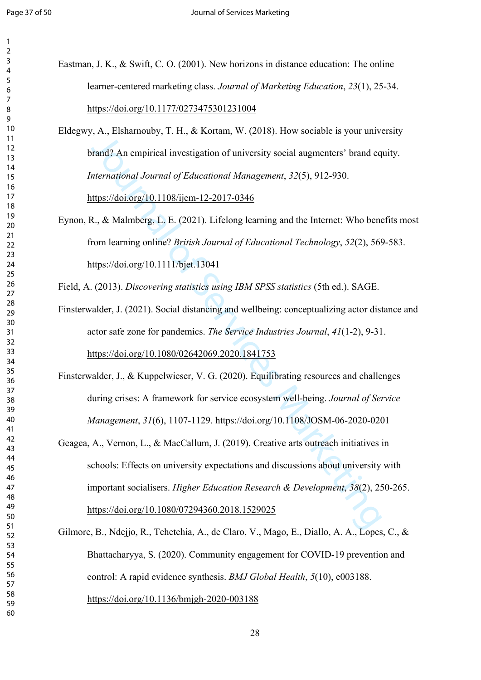$\overline{2}$ 

| 3                                |
|----------------------------------|
| 4                                |
| 5                                |
| 6                                |
|                                  |
| 8                                |
| $\mathbf$                        |
| )                                |
| 10                               |
| 1<br>1                           |
| $\mathbf{1}$<br>フ                |
| 13                               |
| $\overline{14}$                  |
| 15                               |
| 16                               |
| 17                               |
|                                  |
| 18                               |
| 19                               |
| 20                               |
| $\overline{21}$                  |
| $\overline{2}$<br>$\overline{2}$ |
| $\overline{2}$<br>3              |
| $\frac{24}{3}$                   |
| 25                               |
| 26                               |
| 27                               |
|                                  |
| $\overline{28}$                  |
| 29                               |
| 30                               |
| $\overline{\textbf{3}}$          |
| $\overline{\mathbf{3}}$<br>,     |
| $\overline{\mathbf{3}}$<br>ξ     |
| 34                               |
| 35                               |
|                                  |
| 36                               |
| 37                               |
| 38                               |
| 39                               |
| 10                               |
| 41                               |
| 42                               |
| ξ<br>4.                          |
|                                  |
| 44                               |
| 45                               |
| 46                               |
| $\overline{4}$                   |
| 48                               |
| 49<br>€                          |
| 50                               |
| 51                               |
| 5<br>$\overline{2}$              |
| 5.                               |
| ξ                                |
| 54                               |
| 55                               |
| 56                               |
| c<br>5                           |
| 58                               |
| C<br>$\mathbf{S}$                |
|                                  |

<span id="page-28-1"></span>

| Eastman, J. K., & Swift, C. O. (2001). New horizons in distance education: The online |
|---------------------------------------------------------------------------------------|
| learner-centered marketing class. Journal of Marketing Education, 23(1), 25-34.       |
| https://doi.org/10.1177/0273475301231004                                              |

<span id="page-28-2"></span>Eldegwy, A., Elsharnouby, T. H., & Kortam, W. (2018). How sociable is your university brand? An empirical investigation of university social augmenters' brand equity. *International Journal of Educational Management*, *32*(5), 912-930.

https://doi.org/10.1108/ijem-12-2017-0346

<span id="page-28-6"></span>Eynon, R., & Malmberg, L. E. (2021). Lifelong learning and the Internet: Who benefits most from learning online? *British Journal of Educational Technology*, *52*(2), 569-583. https://doi.org/10.1111/bjet.13041

<span id="page-28-5"></span>Field, A. (2013). *Discovering statistics using IBM SPSS statistics* (5th ed.). SAGE.

- Finsterwalder, J. (2021). Social distancing and wellbeing: conceptualizing actor distance and actor safe zone for pandemics. *The Service Industries Journal*, *41*(1-2), 9-31. https://doi.org/10.1080/02642069.2020.1841753
- <span id="page-28-4"></span><span id="page-28-0"></span>Finsterwalder, J., & Kuppelwieser, V. G. (2020). Equilibrating resources and challenges during crises: A framework for service ecosystem well-being. *Journal of Service Management*, *31*(6), 1107-1129. https://doi.org/10.1108/JOSM-06-2020-0201
- (1997) And entrinded and the statements [of](https://doi.org/10.1111/bjet.13041) Servi[ce](https://doi.org/10.1080/02642069.2020.1841753) And the Service And the Meridian of the Services [Ma](https://doi.org/10.1108/JOSM-06-2020-0201)rketing<br>
1997) An empirical investigation of university social augmenters' brand equinements' brand equinement of Educat Geagea, A., Vernon, L., & MacCallum, J. (2019). Creative arts outreach initiatives in schools: Effects on university expectations and discussions about university with important socialisers. *Higher Education Research & Development*, *38*(2), 250-265. https://doi.org/10.1080/07294360.2018.1529025
- <span id="page-28-3"></span>Gilmore, B., Ndejjo, R., Tchetchia, A., de Claro, V., Mago, E., Diallo, A. A., Lopes, C., & Bhattacharyya, S. (2020). Community engagement for COVID-19 prevention and control: A rapid evidence synthesis. *BMJ Global Health*, *5*(10), e003188. <https://doi.org/10.1136/bmjgh-2020-003188>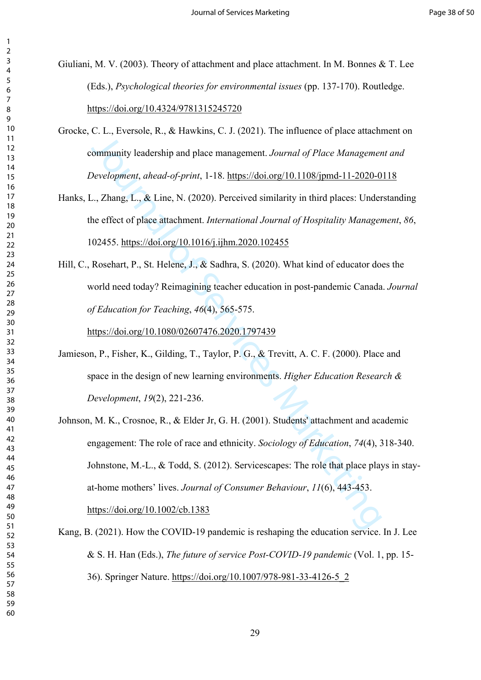<span id="page-29-3"></span>Giuliani, M. V. (2003). Theory of attachment and place attachment. In M. Bonnes & T. Lee (Eds.), *Psychological theories for environmental issues* (pp. 137-170). Routledge. <https://doi.org/10.4324/9781315245720>

<span id="page-29-2"></span>Grocke, C. L., Eversole, R., & Hawkins, C. J. (2021). The influence of place attachment on community leadership and place management. *Journal of Place Management and Development*, *ahead-of-print*, 1-18. https://doi.org/10.1108/jpmd-11-2020-0118

<span id="page-29-4"></span>Hanks, L., Zhang, L., & Line, N. (2020). Perceived similarity in third places: Understanding the effect of place attachment. *International Journal of Hospitality Management*, *86*, 102455. https://doi.org/10.1016/j.ijhm.2020.102455

<span id="page-29-1"></span>Hill, C., Rosehart, P., St. Helene, J., & Sadhra, S. (2020). What kind of educator does the world need today? Reimagining teacher education in post-pandemic Canada. *Journal of Education for Teaching*, *46*(4), 565-575.

https://doi.org/10.1080/02607476.2020.1797439

- Jamieson, P., Fisher, K., Gilding, T., Taylor, P. G., & Trevitt, A. C. F. (2000). Place and space in the design of new learning environments. *Higher Education Research & Development*, *19*(2), 221-236.
- En En, Evisions, ray at Franklin, evisions, the minister of place and<br>tommunity leadership and place management. Journa[l o](https://doi.org/10.1016/j.ijhm.2020.102455)f Place Managemer<br>
Development, ahead-of-print, 1-18. https://doi.org/10.1108/jpmd-11-2020-0<br>
.. Zha Johnson, M. K., Crosnoe, R., & Elder Jr, G. H. (2001). Students' attachment and academic engagement: The role of race and ethnicity. *Sociology of Education*, *74*(4), 318-340. Johnstone, M.-L., & Todd, S. (2012). Servicescapes: The role that place plays in stayat-home mothers' lives. *Journal of Consumer Behaviour*, *11*(6), 443-453. https://doi.org/10.1002/cb.1383
- <span id="page-29-5"></span><span id="page-29-0"></span>Kang, B. (2021). How the COVID-19 pandemic is reshaping the education service. In J. Lee & S. H. Han (Eds.), *The future of service Post-COVID-19 pandemic* (Vol. 1, pp. 15- 36). Springer Nature. [https://doi.org/10.1007/978-981-33-4126-5\\_2](https://doi.org/10.1007/978-981-33-4126-5_2)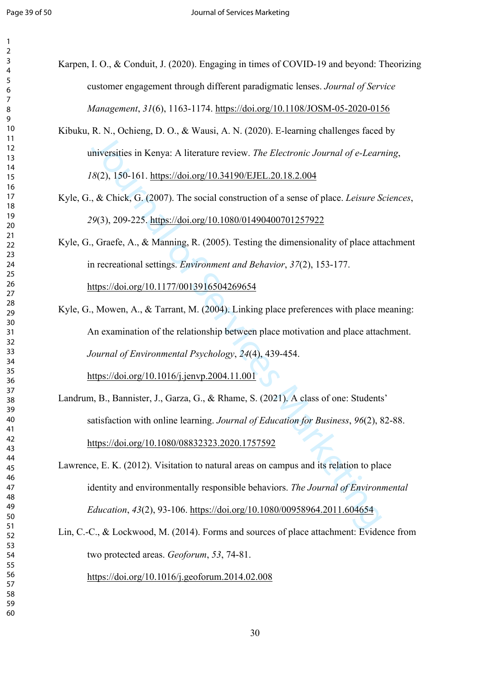| 4                             |
|-------------------------------|
| C                             |
| 6                             |
|                               |
| ξ<br>3                        |
| ¢                             |
| J                             |
| 10                            |
| 1<br>1                        |
| 1<br>,                        |
| I.<br>ξ                       |
| 14                            |
| 15                            |
| 16                            |
| 1                             |
|                               |
| 18                            |
| $\overline{\phantom{a}}$<br>) |
| 20                            |
| $^{21}$                       |
| $\overline{\mathbf{r}}$<br>Č  |
| $\overline{ }$<br>3           |
| $\frac{2}{4}$                 |
| 25                            |
| 26                            |
|                               |
| $\overline{2}$                |
| $^{28}$                       |
| <sup>o</sup><br>)             |
| 30                            |
| $\overline{\textbf{3}}$       |
| š<br>Č                        |
| }<br>$\overline{\mathbf{3}}$  |
| $\frac{34}{3}$                |
| 35                            |
|                               |
| 36                            |
| $\frac{1}{2}$                 |
| šξ<br>3                       |
| 39                            |
| 40                            |
| ļ.<br>I                       |
| 42                            |
| 43                            |
| 44                            |
| 45                            |
|                               |
| 46                            |
| 47                            |
| 48<br>ξ                       |
| 49<br>$\mathfrak z$           |
| C<br>50                       |
| 5<br>1                        |
| 5<br>2                        |
| 5.<br>ξ                       |
| 54                            |
| 55                            |
|                               |
| 56                            |
| 5<br>7                        |
| 58                            |
| 59                            |

<span id="page-30-0"></span>Karpen, I. O., & Conduit, J. (2020). Engaging in times of COVID-19 and beyond: Theorizing customer engagement through different paradigmatic lenses. *Journal of Service Management*, *31*(6), 1163-1174. <https://doi.org/10.1108/JOSM-05-2020-0156>

- <span id="page-30-7"></span>Kibuku, R. N., Ochieng, D. O., & Wausi, A. N. (2020). E-learning challenges faced by universities in Kenya: A literature review. *The Electronic Journal of e-Learning*, (2), 150-161. https://doi.org/10.34190/EJEL.20.18.2.004
- <span id="page-30-5"></span>Kyle, G., & Chick, G. (2007). The social construction of a sense of place. *Leisure Sciences*, (3), 209-225. https://doi.org/10.1080/01490400701257922

<span id="page-30-4"></span><span id="page-30-2"></span>Kyle, G., Graefe, A., & Manning, R. (2005). Testing the dimensionality of place attachment in recreational settings. *Environment and Behavior*, *37*(2), 153-177. https://doi.org/10.1177/0013916504269654

- The Fig. of Marketing Christman (1922) is becausing manisipal and the diversities in Kenya: A literature review. The Electronic Jour[nal](https://doi.org/10.1080/01490400701257922) of [e](https://doi.org/10.1016/j.jenvp.2004.11.001)-Learn<br>
(82), 150-161. https://doi.org/10.34190/EJEL.20.18.2.004<br>
, & Chick, G. ( Kyle, G., Mowen, A., & Tarrant, M. (2004). Linking place preferences with place meaning: An examination of the relationship between place motivation and place attachment. *Journal of Environmental Psychology*, *24*(4), 439-454. https://doi.org/10.1016/j.jenvp.2004.11.001
- <span id="page-30-1"></span>Landrum, B., Bannister, J., Garza, G., & Rhame, S. (2021). A class of one: Students' satisfaction with online learning. *Journal of Education for Business*, *96*(2), 82-88. https://doi.org/10.1080/08832323.2020.1757592

<span id="page-30-3"></span>Lawrence, E. K. (2012). Visitation to natural areas on campus and its relation to place identity and environmentally responsible behaviors. *The Journal of Environmental Education*, *43*(2), 93-106. https://doi.org/10.1080/00958964.2011.604654

<span id="page-30-6"></span>Lin, C.-C., & Lockwood, M. (2014). Forms and sources of place attachment: Evidence from two protected areas. *Geoforum*, *53*, 74-81.

<https://doi.org/10.1016/j.geoforum.2014.02.008>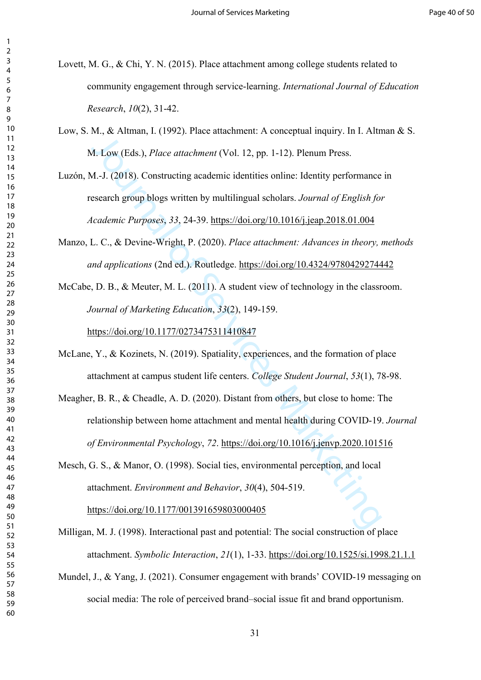- <span id="page-31-1"></span>Lovett, M. G., & Chi, Y. N. (2015). Place attachment among college students related to community engagement through service-learning. *International Journal of Education Research*, *10*(2), 31-42.
- <span id="page-31-7"></span>Low, S. M., & Altman, I. (1992). Place attachment: A conceptual inquiry. In I. Altman & S. M. Low (Eds.), *Place attachment* (Vol. 12, pp. 1-12). Plenum Press.
- <span id="page-31-9"></span>1.1, we haloso, *Place attachment* 1. Leavelphan in party in the tast<br>1. Low (Eds.), *Place attachment* (Vol. 12, pp. 1-12). Plenum Press.<br>1.-J. (2018). Constructing academic identities online: Identity performance<br>sesarch Luzón, M.-J. (2018). Constructing academic identities online: Identity performance in research group blogs written by multilingual scholars. *Journal of English for Academic Purposes*, *33*, 24-39. https://doi.org/10.1016/j.jeap.2018.01.004
- <span id="page-31-6"></span>Manzo, L. C., & Devine-Wright, P. (2020). *Place attachment: Advances in theory, methods and applications* (2nd ed.). Routledge. https://doi.org/10.4324/9780429274442
- <span id="page-31-0"></span>McCabe, D. B., & Meuter, M. L. (2011). A student view of technology in the classroom. *Journal of Marketing Education*, *33*(2), 149-159. https://doi.org/10.1177/0273475311410847
- <span id="page-31-5"></span>McLane, Y., & Kozinets, N. (2019). Spatiality, experiences, and the formation of place attachment at campus student life centers. *College Student Journal*, *53*(1), 78-98.
- <span id="page-31-4"></span>Meagher, B. R., & Cheadle, A. D. (2020). Distant from others, but close to home: The relationship between home attachment and mental health during COVID-19. *Journal of Environmental Psychology*, *72*. https://doi.org/10.1016/j.jenvp.2020.101516
- <span id="page-31-8"></span>Mesch, G. S., & Manor, O. (1998). Social ties, environmental perception, and local attachment. *Environment and Behavior*, *30*(4), 504-519.

https://doi.org/10.1177/001391659803000405

- <span id="page-31-2"></span>Milligan, M. J. (1998). Interactional past and potential: The social construction of place attachment. *Symbolic Interaction*, *21*(1), 1-33. <https://doi.org/10.1525/si.1998.21.1.1>
- <span id="page-31-3"></span>Mundel, J., & Yang, J. (2021). Consumer engagement with brands' COVID-19 messaging on social media: The role of perceived brand–social issue fit and brand opportunism.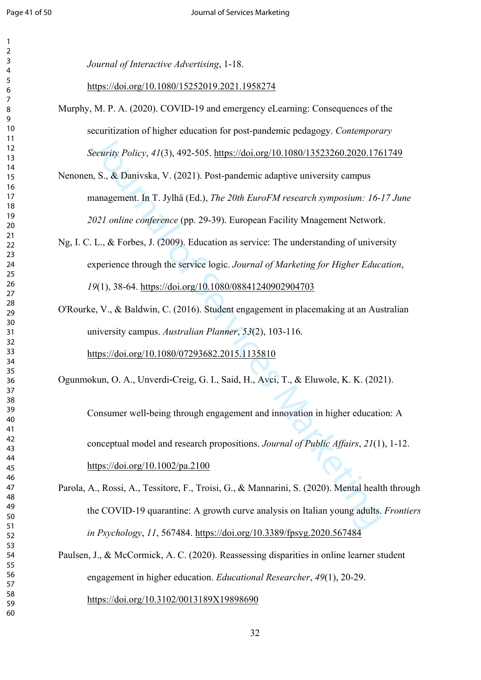$\overline{2}$ 

| 3                            |
|------------------------------|
| 4                            |
| 5                            |
|                              |
| 6                            |
| 7                            |
| 8                            |
| ¢<br>)                       |
|                              |
| 10                           |
| 1<br>1                       |
| 12                           |
| 13                           |
|                              |
| 14                           |
| 15                           |
| 16                           |
| 17                           |
|                              |
| 18                           |
| 19                           |
| 20                           |
|                              |
| $\overline{21}$              |
| $\overline{2}$<br>2          |
| $\overline{2}$<br>3          |
| $\overline{24}$              |
|                              |
| 25                           |
| 26                           |
| $^{27}$                      |
| 28                           |
|                              |
| 29                           |
| 30                           |
| $\overline{\textbf{3}}$      |
| $\overline{\mathbf{3}}$      |
| 2                            |
| $\overline{\mathbf{3}}$<br>3 |
| 34                           |
| 35                           |
|                              |
| 36                           |
| 37                           |
| 38                           |
| 39                           |
|                              |
| 10                           |
| 41                           |
| 42                           |
| 3                            |
| $\overline{\mathbf{r}}$      |
| 44                           |
| 45                           |
| 46                           |
| 47                           |
|                              |
| 48                           |
| 49                           |
| 50                           |
|                              |
| 51                           |
| 5<br>$\overline{c}$          |
| 5.<br>ξ                      |
| 54                           |
|                              |
| 55                           |
| 56                           |
| 57                           |
| 58                           |
|                              |
| 59                           |
|                              |

*Journal of Interactive Advertising*, 1-18.

<https://doi.org/10.1080/15252019.2021.1958274>

- <span id="page-32-1"></span>Murphy, M. P. A. (2020). COVID-19 and emergency eLearning: Consequences of the securitization of higher education for post-pandemic pedagogy. *Contemporary Security Policy*, *41*(3), 492-505. https://doi.org/10.1080/13523260.2020.1761749
- <span id="page-32-5"></span>Nenonen, S., & Danivska, V. (2021). Post-pandemic adaptive university campus management. In T. Jylhä (Ed.), *The 20th EuroFM research symposium: 16-17 June 2021 online conference* (pp. 29-39). European Facility Mnagement Network.
- <span id="page-32-0"></span>Ng, I. C. L., & Forbes, J. (2009). Education as service: The understanding of university experience through the service logic. *Journal of Marketing for Higher Education*, (1), 38-64. https://doi.org/10.1080/08841240902904703
- <span id="page-32-2"></span>O'Rourke, V., & Baldwin, C. (2016). Student engagement in placemaking at an Australian university campus. *Australian Planner*, *53*(2), 103-116. https://doi.org/10.1080/07293682.2015.1135810

<span id="page-32-3"></span>Ogunmokun, O. A., Unverdi‐Creig, G. I., Said, H., Avci, T., & Eluwole, K. K. (2021).

**Servi[ce](https://doi.org/10.1080/07293682.2015.1135810)s Area Consumers** Consumers For producing the proposition of Consumption Consumption Consumption 1, S. S. & Danivska, V. (2021). Post-pandemic adaptive university cannot and the U.S. S. & Danivska, V. (2021). Post Consumer well‐being through engagement and innovation in higher education: A conceptual model and research propositions. *Journal of Public Affairs*, *21*(1), 1-12. https://doi.org/10.1002/pa.2100

- <span id="page-32-4"></span>Parola, A., Rossi, A., Tessitore, F., Troisi, G., & Mannarini, S. (2020). Mental health through the COVID-19 quarantine: A growth curve analysis on Italian young adults. *Frontiers in Psychology*, *11*, 567484. <https://doi.org/10.3389/fpsyg.2020.567484>
- <span id="page-32-6"></span>Paulsen, J., & McCormick, A. C. (2020). Reassessing disparities in online learner student engagement in higher education. *Educational Researcher*, *49*(1), 20-29. <https://doi.org/10.3102/0013189X19898690>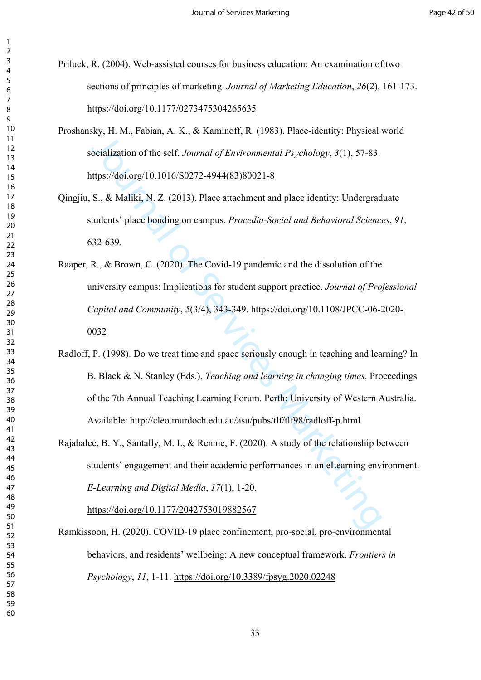- <span id="page-33-1"></span>Priluck, R. (2004). Web-assisted courses for business education: An examination of two sections of principles of marketing. *Journal of Marketing Education*, *26*(2), 161-173. <https://doi.org/10.1177/0273475304265635>
- <span id="page-33-3"></span>Proshansky, H. M., Fabian, A. K., & Kaminoff, R. (1983). Place-identity: Physical world socialization of the self. *Journal of Environmental Psychology*, *3*(1), 57-83. https://doi.org/10.1016/S0272-4944(83)80021-8
- Qingjiu, S., & Maliki, N. Z. (2013). Place attachment and place identity: Undergraduate students' place bonding on campus. *Procedia-Social and Behavioral Sciences*, *91*, 632-639.
- <span id="page-33-4"></span>Raaper, R., & Brown, C. (2020). The Covid-19 pandemic and the dissolution of the university campus: Implications for student support practice. *Journal of Professional Capital and Community*, *5*(3/4), 343-349. [https://doi.org/10.1108/JPCC-06-2020-](https://doi.org/10.1108/JPCC-06-2020-0032)
- orialization of the self. J[ou](https://doi.org/10.1016/S0272-4944(83)80021-8)rnal of Environmental Psychology, 3(1), 57-83.<br>
Inthis. 7/doi.org/10.1016/S0272-4944(83)80021-8<br>
S., & Maliki, N. Z. (2013). Place attachment and place identity: Undergrad<br>
tudents' place bond Radloff, P. (1998). Do we treat time and space seriously enough in teaching and learning? In B. Black & N. Stanley (Eds.), *Teaching and learning in changing times*. Proceedings of the 7th Annual Teaching Learning Forum. Perth: University of Western Australia. Available: http://cleo.murdoch.edu.au/asu/pubs/tlf/tlf98/radloff-p.html
- <span id="page-33-2"></span>Rajabalee, B. Y., Santally, M. I., & Rennie, F. (2020). A study of the relationship between students' engagement and their academic performances in an eLearning environment. *E-Learning and Digital Media*, *17*(1), 1-20.

https://doi.org/10.1177/2042753019882567

<span id="page-33-0"></span>Ramkissoon, H. (2020). COVID-19 place confinement, pro-social, pro-environmental behaviors, and residents' wellbeing: A new conceptual framework. *Frontiers in Psychology*, *11*, 1-11.<https://doi.org/10.3389/fpsyg.2020.02248>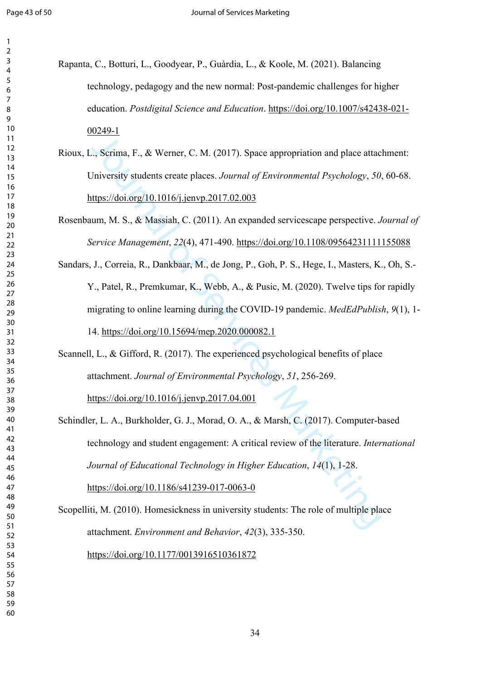<span id="page-34-0"></span>

| Rapanta, C., Botturi, L., Goodyear, P., Guàrdia, L., & Koole, M. (2021). Balancing |
|------------------------------------------------------------------------------------|
| technology, pedagogy and the new normal: Post-pandemic challenges for higher       |
| education. Postdigital Science and Education. https://doi.org/10.1007/s42438-021-  |
| 00249-1                                                                            |

<span id="page-34-3"></span>Rioux, L., Scrima, F., & Werner, C. M. (2017). Space appropriation and place attachment: University students create places. *Journal of Environmental Psychology*, *50*, 60-68. https://doi.org/10.1016/j.jenvp.2017.02.003

<span id="page-34-5"></span><span id="page-34-1"></span>Rosenbaum, M. S., & Massiah, C. (2011). An expanded servicescape perspective. *Journal of Service Management*, *22*(4), 471-490. <https://doi.org/10.1108/09564231111155088>

**Solution**<br>
1. Serima, F., & Werner, C. M. (2017). Space appropriation and place attace<br>
Jniversity students create places. Jo[urn](https://doi.org/10.1016/j.jenvp.2017.02.003)al of En[vi](https://doi.org/10.15694/mep.2020.000082.1)ronmental Psychology, 50.<br>
ttps://doi.org/10.1016/j.jenvp.2017.02.003<br>
1. turns. M Sandars, J., Correia, R., Dankbaar, M., de Jong, P., Goh, P. S., Hege, I., Masters, K., Oh, S.- Y., Patel, R., Premkumar, K., Webb, A., & Pusic, M. (2020). Twelve tips for rapidly migrating to online learning during the COVID-19 pandemic. *MedEdPublish*, *9*(1), 1- 14. https://doi.org/10.15694/mep.2020.000082.1

<span id="page-34-6"></span>Scannell, L., & Gifford, R. (2017). The experienced psychological benefits of place attachment. *Journal of Environmental Psychology*, *51*, 256-269.

https://doi.org/10.1016/j.jenvp.2017.04.001

<span id="page-34-2"></span>Schindler, L. A., Burkholder, G. J., Morad, O. A., & Marsh, C. (2017). Computer-based technology and student engagement: A critical review of the literature. *International Journal of Educational Technology in Higher Education*, *14*(1), 1-28. https://doi.org/10.1186/s41239-017-0063-0

<span id="page-34-4"></span>Scopelliti, M. (2010). Homesickness in university students: The role of multiple place attachment. *Environment and Behavior*, *42*(3), 335-350. <https://doi.org/10.1177/0013916510361872>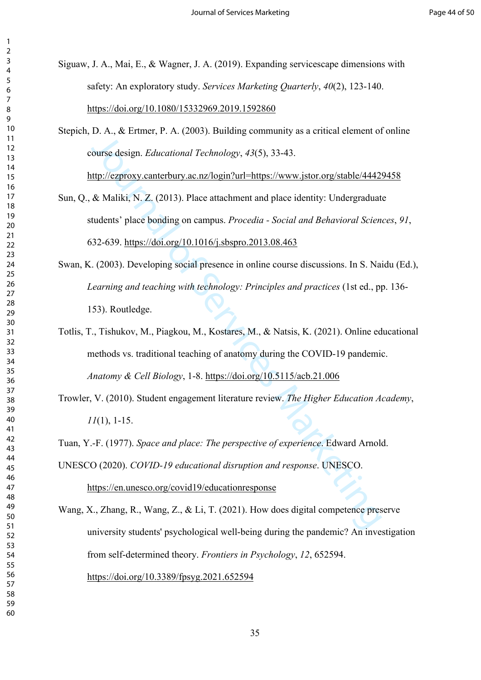<span id="page-35-1"></span>Siguaw, J. A., Mai, E., & Wagner, J. A. (2019). Expanding servicescape dimensions with safety: An exploratory study. *Services Marketing Quarterly*, *40*(2), 123-140. <https://doi.org/10.1080/15332969.2019.1592860>

<span id="page-35-4"></span>Stepich, D. A., & Ertmer, P. A. (2003). Building community as a critical element of online course design. *Educational Technology*, *43*(5), 33-43. http://ezproxy.canterbury.ac.nz/login?url=https://www.jstor.org/stable/44429458

- <span id="page-35-6"></span>11.1, etc., *Eutomia, 1.1.1, Coooyi Danamage Commany* at a critical existention<br>[ou](http://ezproxy.canterbury.ac.nz/login?url=https://www.jstor.org/stable/44429458)rse d[es](https://doi.org/10.5115/acb.21.006)ign. *Educational Technology, 43*(5), 33-43.<br>
Attip://ezproxy.canterbury.ac.nz/login?url=https://www.jstor.org/stable/4442<br>
& Maliki, Sun, Q., & Maliki, N. Z. (2013). Place attachment and place identity: Undergraduate students' place bonding on campus. *Procedia - Social and Behavioral Sciences*, *91*, 632-639. https://doi.org/10.1016/j.sbspro.2013.08.463
- <span id="page-35-3"></span>Swan, K. (2003). Developing social presence in online course discussions. In S. Naidu (Ed.), *Learning and teaching with technology: Principles and practices* (1st ed., pp. 136- 153). Routledge.

Totlis, T., Tishukov, M., Piagkou, M., Kostares, M., & Natsis, K. (2021). Online educational methods vs. traditional teaching of anatomy during the COVID-19 pandemic. *Anatomy & Cell Biology*, 1-8. https://doi.org/10.5115/acb.21.006

<span id="page-35-2"></span>Trowler, V. (2010). Student engagement literature review. *The Higher Education Academy*, (1), 1-15.

<span id="page-35-7"></span>Tuan, Y.-F. (1977). *Space and place: The perspective of experience*. Edward Arnold.

<span id="page-35-0"></span>UNESCO (2020). *COVID-19 educational disruption and response*. UNESCO. https://en.unesco.org/covid19/educationresponse

<span id="page-35-5"></span>Wang, X., Zhang, R., Wang, Z., & Li, T. (2021). How does digital competence preserve university students' psychological well-being during the pandemic? An investigation from self-determined theory. *Frontiers in Psychology*, *12*, 652594. <https://doi.org/10.3389/fpsyg.2021.652594>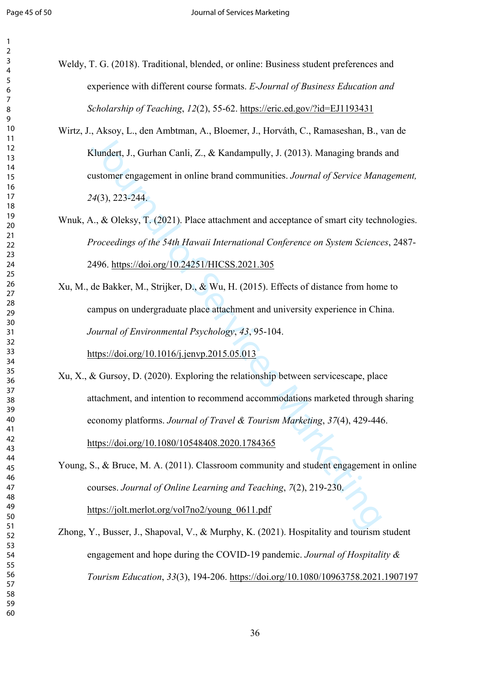<span id="page-36-0"></span>Weldy, T. G. (2018). Traditional, blended, or online: Business student preferences and experience with different course formats. *E-Journal of Business Education and Scholarship of Teaching*, *12*(2), 55-62.<https://eric.ed.gov/?id=EJ1193431>

Wirtz, J., Aksoy, L., den Ambtman, A., Bloemer, J., Horváth, C., Ramaseshan, B., van de Klundert, J., Gurhan Canli, Z., & Kandampully, J. (2013). Managing brands and customer engagement in online brand communities. *Journal of Service Management,*  (3), 223-244.

# <span id="page-36-3"></span>Wnuk, A., & Oleksy, T. (2021). Place attachment and acceptance of smart city technologies. *Proceedings of the 54th Hawaii International Conference on System Sciences*, 2487- 2496. https://doi.org/10.24251/HICSS.2021.305

<span id="page-36-5"></span><span id="page-36-4"></span>Xu, M., de Bakker, M., Strijker, D., & Wu, H. (2015). Effects of distance from home to campus on undergraduate place attachment and university experience in China. *Journal of Environmental Psychology*, *43*, 95-104. https://doi.org/10.1016/j.jenvp.2015.05.013

Final [of](https://doi.org/10.24251/HICSS.2021.305) Servi[ce](https://doi.org/10.1016/j.jenvp.2015.05.013)s Marketing, Final of Service Marketing, Final American American Control of Service Marketing, J., Gurhan Canli, Z., & Kandampully, J. (2013). Managing brands<br>astomer engagement in online brand communities Xu, X., & Gursoy, D. (2020). Exploring the relationship between servicescape, place attachment, and intention to recommend accommodations marketed through sharing economy platforms. *Journal of Travel & Tourism Marketing*, *37*(4), 429-446. https://doi.org/10.1080/10548408.2020.1784365

<span id="page-36-1"></span>Young, S., & Bruce, M. A. (2011). Classroom community and student engagement in online courses. *Journal of Online Learning and Teaching*, *7*(2), 219-230. https://jolt.merlot.org/vol7no2/young\_0611.pdf

<span id="page-36-2"></span>Zhong, Y., Busser, J., Shapoval, V., & Murphy, K. (2021). Hospitality and tourism student engagement and hope during the COVID-19 pandemic. *Journal of Hospitality & Tourism Education*, *33*(3), 194-206.<https://doi.org/10.1080/10963758.2021.1907197>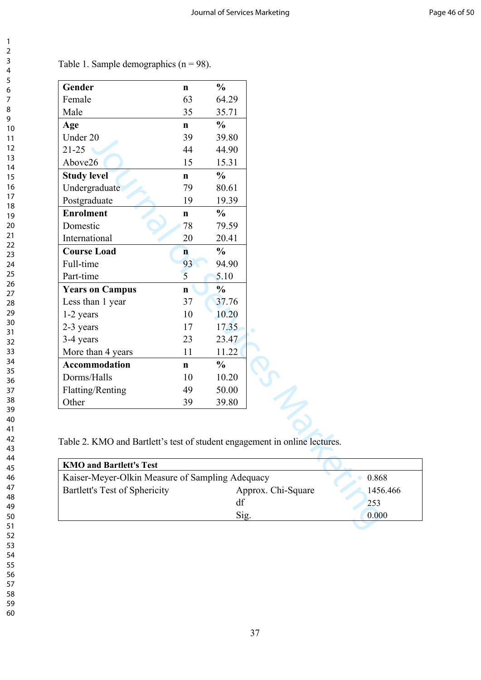| Gender                 | $\mathbf n$  | $\frac{0}{0}$ |
|------------------------|--------------|---------------|
| Female                 | 63           | 64.29         |
| Male                   | 35           | 35.71         |
| Age                    | $\mathbf n$  | $\frac{0}{0}$ |
| Under 20               | 39           | 39.80         |
| $21 - 25$              | 44           | 44.90         |
| Above26                | 15           | 15.31         |
| <b>Study level</b>     | $\mathbf n$  | $\frac{0}{0}$ |
| Undergraduate          | 79           | 80.61         |
| Postgraduate           | 19           | 19.39         |
| <b>Enrolment</b>       | n            | $\frac{0}{0}$ |
| Domestic               | 78           | 79.59         |
| International          | 20           | 20.41         |
| <b>Course Load</b>     | $\mathbf{n}$ | $\frac{0}{0}$ |
| Full-time              | 93           | 94.90         |
| Part-time              | 5            | 5.10          |
| <b>Years on Campus</b> | $\mathbf n$  | $\frac{0}{0}$ |
| Less than 1 year       | 37           | 37.76         |
| 1-2 years              | 10           | 10.20         |
| 2-3 years              | 17           | 17.35         |
| 3-4 years              | 23           | 23.47         |
| More than 4 years      | 11           | 11.22         |
| <b>Accommodation</b>   | $\mathbf{n}$ | $\frac{0}{0}$ |
| Dorms/Halls            | 10           | 10.20         |
| Flatting/Renting       | 49           | 50.00         |
|                        | 39           | 39.80         |

Table 1. Sample demographics  $(n = 98)$ .

Table 2. KMO and Bartlett's test of student engagement in online lectures.

| <b>KMO and Bartlett's Test</b>                  |          |       |
|-------------------------------------------------|----------|-------|
| Kaiser-Meyer-Olkin Measure of Sampling Adequacy | 0.868    |       |
| Bartlett's Test of Sphericity                   | 1456.466 |       |
|                                                 | df       | 253   |
|                                                 | Sig      | 0.000 |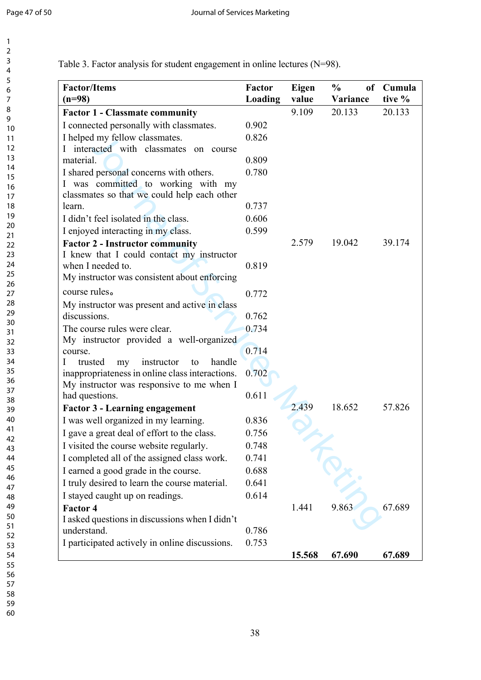| <b>Factor/Items</b><br>$(n=98)$                                               | Factor<br>Loading | Eigen<br>value | $\frac{6}{9}$<br>Variance | of Cumula<br>tive % |
|-------------------------------------------------------------------------------|-------------------|----------------|---------------------------|---------------------|
| <b>Factor 1 - Classmate community</b>                                         |                   | 9.109          | 20.133                    | 20.133              |
| I connected personally with classmates.                                       | 0.902             |                |                           |                     |
| I helped my fellow classmates.                                                | 0.826             |                |                           |                     |
| I interacted with classmates on course                                        |                   |                |                           |                     |
| material.                                                                     | 0.809             |                |                           |                     |
| I shared personal concerns with others.<br>I was committed to working with my | 0.780             |                |                           |                     |
| classmates so that we could help each other<br>learn.                         | 0.737             |                |                           |                     |
| I didn't feel isolated in the class.                                          | 0.606             |                |                           |                     |
|                                                                               | 0.599             |                |                           |                     |
| I enjoyed interacting in my class.<br><b>Factor 2 - Instructor community</b>  |                   | 2.579          | 19.042                    | 39.174              |
| I knew that I could contact my instructor                                     |                   |                |                           |                     |
| when I needed to.                                                             | 0.819             |                |                           |                     |
| My instructor was consistent about enforcing                                  |                   |                |                           |                     |
| course rules.                                                                 | 0.772             |                |                           |                     |
| My instructor was present and active in class                                 |                   |                |                           |                     |
| discussions.                                                                  | 0.762             |                |                           |                     |
| The course rules were clear.                                                  | 0.734             |                |                           |                     |
| My instructor provided a well-organized                                       |                   |                |                           |                     |
| course.                                                                       | 0.714             |                |                           |                     |
| handle<br>instructor<br>trusted<br>my<br>to<br>$\mathbf{I}$                   |                   |                |                           |                     |
| inappropriateness in online class interactions.                               | 0.702             |                |                           |                     |
| My instructor was responsive to me when I                                     |                   |                |                           |                     |
| had questions.                                                                | 0.611             |                |                           |                     |
| <b>Factor 3 - Learning engagement</b>                                         |                   | 2.439          | 18.652                    | 57.826              |
| I was well organized in my learning.                                          | 0.836             |                |                           |                     |
| I gave a great deal of effort to the class.                                   | 0.756             |                |                           |                     |
| I visited the course website regularly.                                       | 0.748             |                |                           |                     |
| I completed all of the assigned class work.                                   | 0.741             |                |                           |                     |
| I earned a good grade in the course.                                          | 0.688             |                |                           |                     |
| I truly desired to learn the course material.                                 | 0.641             |                |                           |                     |
| I stayed caught up on readings.                                               | 0.614             |                |                           |                     |
| <b>Factor 4</b>                                                               |                   | 1.441          | 9.863                     | 67.689              |
| I asked questions in discussions when I didn't                                |                   |                |                           |                     |
| understand.                                                                   | 0.786             |                |                           |                     |
| I participated actively in online discussions.                                | 0.753             | 15.568         | 67.690                    | 67.689              |

Table 3. Factor analysis for student engagement in online lectures (N=98).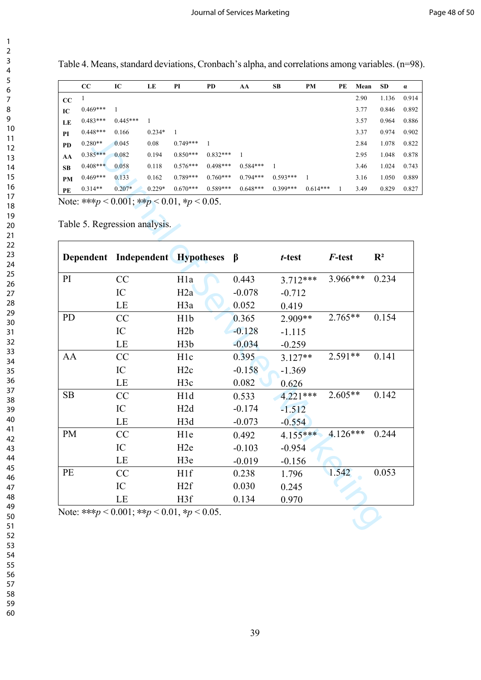Table 4. Means, standard deviations, Cronbach's alpha, and correlations among variables. (n=98).

|           | $\bf CC$   | IC         | LE       | PI         | PD         | AA         | SB         | PM         | PE | Mean | <b>SD</b> | $\alpha$ |
|-----------|------------|------------|----------|------------|------------|------------|------------|------------|----|------|-----------|----------|
| CC        |            |            |          |            |            |            |            |            |    | 2.90 | 1.136     | 0.914    |
| IC        | $0.469***$ |            |          |            |            |            |            |            |    | 3.77 | 0.846     | 0.892    |
| LE        | $0.483***$ | $0.445***$ |          |            |            |            |            |            |    | 3.57 | 0.964     | 0.886    |
| PI        | $0.448***$ | 0.166      | $0.234*$ |            |            |            |            |            |    | 3.37 | 0.974     | 0.902    |
| <b>PD</b> | $0.280**$  | 0.045      | 0.08     | $0.749***$ |            |            |            |            |    | 2.84 | 1.078     | 0.822    |
| AA        | $0.385***$ | 0.082      | 0.194    | $0.850***$ | $0.832***$ |            |            |            |    | 2.95 | 1.048     | 0.878    |
| <b>SB</b> | $0.408***$ | 0.058      | 0.118    | $0.576***$ | $0.498***$ | $0.584***$ | 1          |            |    | 3.46 | 1.024     | 0.743    |
| <b>PM</b> | $0.469***$ | 0.133      | 0.162    | $0.789***$ | $0.760***$ | $0.794***$ | $0.593***$ |            |    | 3.16 | 1.050     | 0.889    |
| PE        | $0.314**$  | $0.207*$   | $0.229*$ | $0.670***$ | $0.589***$ | $0.648***$ | $0.399***$ | $0.614***$ |    | 3.49 | 0.829     | 0.827    |

| PI.       |            | v. 1 vv                                                                                 |          |                  |              |            |              |              |              |      |                | $v \cdot v$ |
|-----------|------------|-----------------------------------------------------------------------------------------|----------|------------------|--------------|------------|--------------|--------------|--------------|------|----------------|-------------|
| PD        | $0.280**$  | 0.045                                                                                   | 0.08     | $0.749***$       | $\mathbf{1}$ |            |              |              |              | 2.84 | 1.078          | 0.82        |
| AA        | $0.385***$ | 0.082                                                                                   | 0.194    | $0.850***$       | $0.832***$   | -1         |              |              |              | 2.95 | 1.048          | 0.87        |
| SB        | $0.408***$ | 0.058                                                                                   | 0.118    | $0.576***$       | $0.498***$   | $0.584***$ | $\mathbf{1}$ |              |              | 3.46 | 1.024          | 0.74        |
| PM        | $0.469***$ | 0.133                                                                                   | 0.162    | $0.789***$       | $0.760***$   | $0.794***$ | 0.593***     | $\mathbf{1}$ |              | 3.16 | 1.050          | 0.88        |
| PE        | $0.314**$  | $0.207*$                                                                                | $0.229*$ | $0.670***$       | 0.589***     | $0.648***$ | $0.399***$   | $0.614***$   | $\mathbf{1}$ | 3.49 | 0.829          | 0.82        |
|           |            | Note: *** $p < 0.001$ ; ** $p < 0.01$ , * $p < 0.05$ .<br>Table 5. Regression analysis. |          |                  |              |            |              |              |              |      |                |             |
|           |            | Dependent Independent Hypotheses                                                        |          |                  |              | $\beta$    | t-test       |              | F-test       |      | $\mathbf{R}^2$ |             |
| PI        |            | CC                                                                                      |          | H <sub>1</sub> a |              | 0.443      | $3.712***$   |              | 3.966***     |      | 0.234          |             |
|           |            | IC                                                                                      |          | H2a              |              | $-0.078$   | $-0.712$     |              |              |      |                |             |
|           |            | LE                                                                                      |          | H <sub>3</sub> a |              | 0.052      | 0.419        |              |              |      |                |             |
| <b>PD</b> |            | CC                                                                                      |          | H <sub>1</sub> b |              | 0.365      | 2.909**      |              | $2.765**$    |      | 0.154          |             |
|           |            | IC                                                                                      |          | H2b              |              | $-0.128$   | $-1.115$     |              |              |      |                |             |
|           |            | LE                                                                                      |          | H <sub>3</sub> b |              | $-0.034$   | $-0.259$     |              |              |      |                |             |
| AA        |            | CC                                                                                      |          | H <sub>1c</sub>  |              | 0.395      | $3.127**$    |              | $2.591**$    |      | 0.141          |             |
|           |            | IC                                                                                      |          | H <sub>2c</sub>  |              | $-0.158$   | $-1.369$     |              |              |      |                |             |
|           |            | LE                                                                                      |          | H <sub>3c</sub>  |              | 0.082      | 0.626        |              |              |      |                |             |
| <b>SB</b> |            | CC                                                                                      |          | H1d              |              | 0.533      | $4.221***$   |              | 2.605**      |      | 0.142          |             |
|           |            | IC                                                                                      |          | H2d              |              | $-0.174$   | $-1.512$     |              |              |      |                |             |
|           |            | $\rm LE$                                                                                |          | H3d              |              | $-0.073$   | $-0.554$     |              |              |      |                |             |
| <b>PM</b> |            | CC                                                                                      |          | H1e              |              | 0.492      | $4.155***$   |              | $4.126***$   |      | 0.244          |             |
|           |            | IC                                                                                      |          | H <sub>2e</sub>  |              | $-0.103$   | $-0.954$     |              |              |      |                |             |
|           |            | LE                                                                                      |          | H <sub>3e</sub>  |              | $-0.019$   | $-0.156$     |              |              |      |                |             |
| PE        |            | CC                                                                                      |          | H <sub>1f</sub>  |              | 0.238      | 1.796        |              | 1.542        |      | 0.053          |             |
|           |            | IC                                                                                      |          | H <sub>2f</sub>  |              | 0.030      | 0.245        |              |              |      |                |             |
|           |            | LE                                                                                      |          | H3f              |              | 0.134      | 0.970        |              |              |      |                |             |
|           |            | Note: *** $p < 0.001$ ; ** $p < 0.01$ , * $p < 0.05$ .                                  |          |                  |              |            |              |              |              |      |                |             |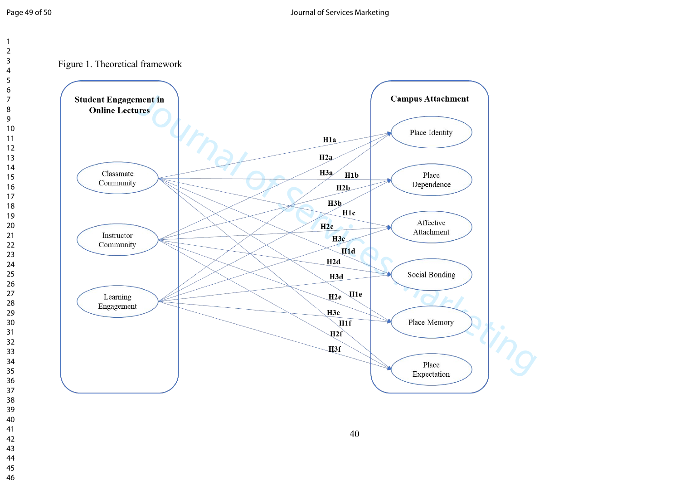Figure 1. Theoretical framework